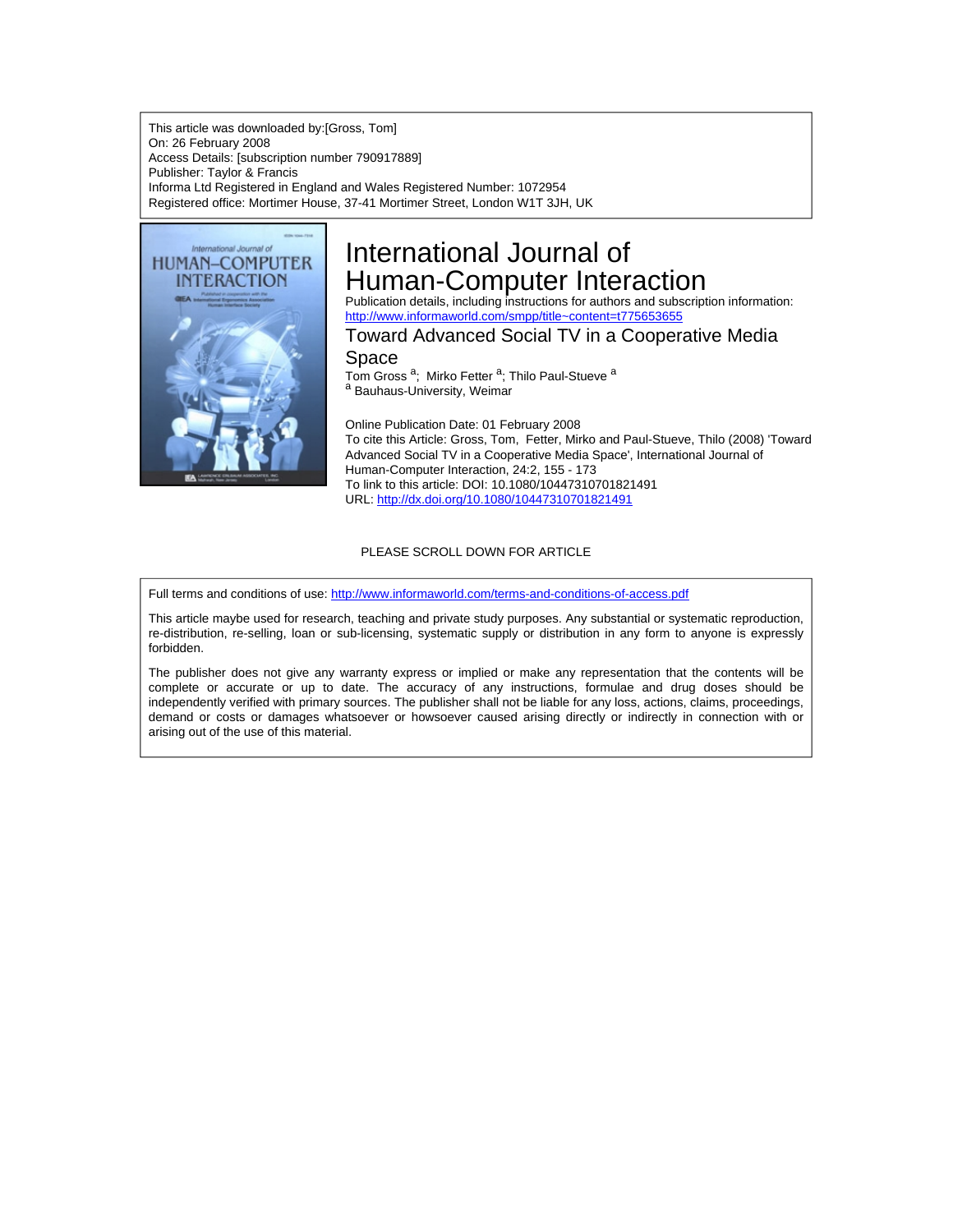This article was downloaded by:[Gross, Tom] On: 26 February 2008 Access Details: [subscription number 790917889] Publisher: Taylor & Francis Informa Ltd Registered in England and Wales Registered Number: 1072954 Registered office: Mortimer House, 37-41 Mortimer Street, London W1T 3JH, UK



# International Journal of Human-Computer Interaction

Publication details, including instructions for authors and subscription information: <http://www.informaworld.com/smpp/title~content=t775653655>

## Toward Advanced Social TV in a Cooperative Media

## Space

Tom Gross<sup>a</sup>; Mirko Fetter<sup>a</sup>; Thilo Paul-Stueve<sup>a</sup> a Bauhaus-University, Weimar

Online Publication Date: 01 February 2008 To cite this Article: Gross, Tom, Fetter, Mirko and Paul-Stueve, Thilo (2008) 'Toward Advanced Social TV in a Cooperative Media Space', International Journal of Human-Computer Interaction, 24:2, 155 - 173 To link to this article: DOI: 10.1080/10447310701821491 URL: <http://dx.doi.org/10.1080/10447310701821491>

## PLEASE SCROLL DOWN FOR ARTICLE

Full terms and conditions of use: <http://www.informaworld.com/terms-and-conditions-of-access.pdf>

This article maybe used for research, teaching and private study purposes. Any substantial or systematic reproduction, re-distribution, re-selling, loan or sub-licensing, systematic supply or distribution in any form to anyone is expressly forbidden.

The publisher does not give any warranty express or implied or make any representation that the contents will be complete or accurate or up to date. The accuracy of any instructions, formulae and drug doses should be independently verified with primary sources. The publisher shall not be liable for any loss, actions, claims, proceedings, demand or costs or damages whatsoever or howsoever caused arising directly or indirectly in connection with or arising out of the use of this material.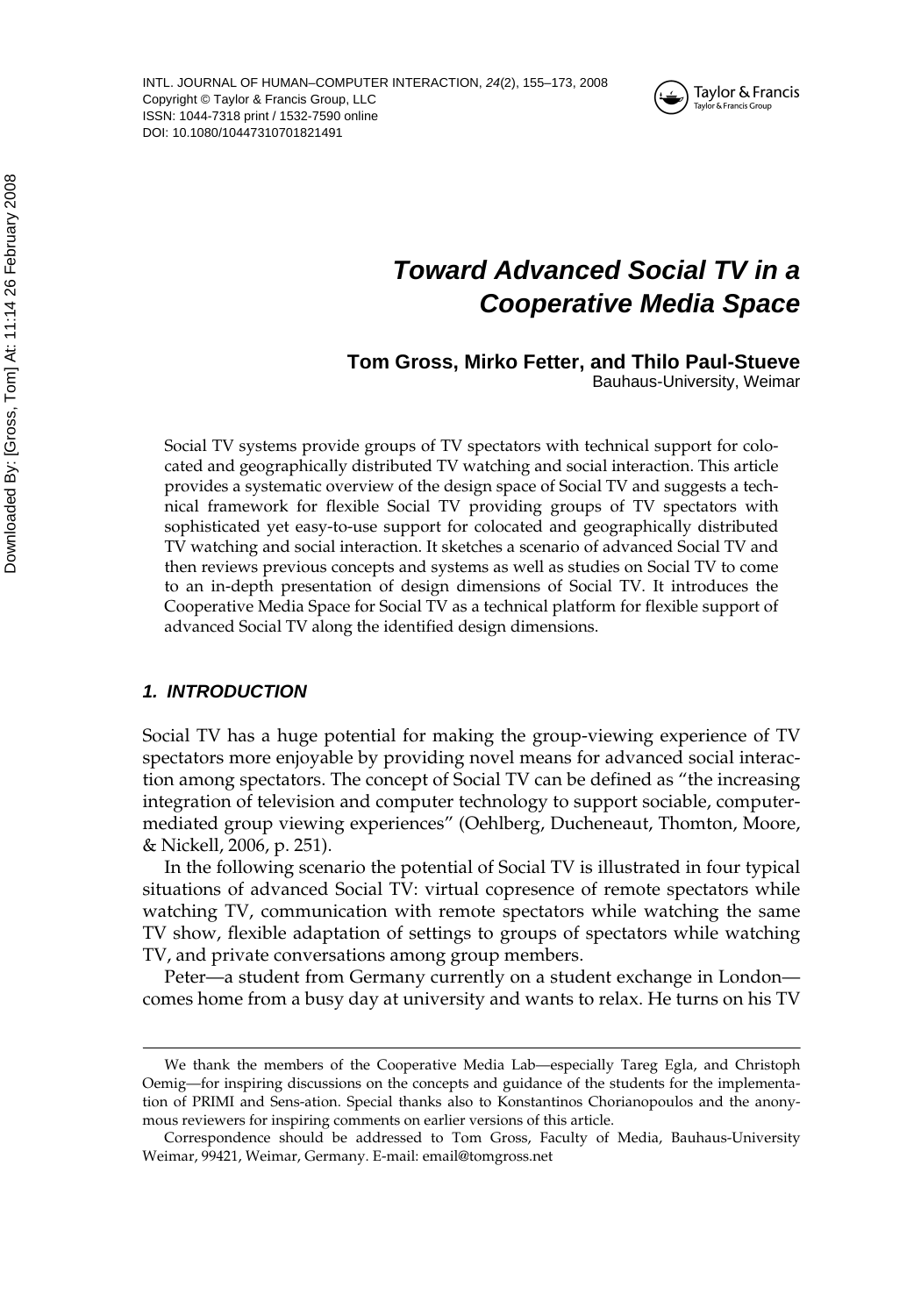

## HIHC 1044-7318 1532-7590International journal of Human–Computer Interaction, Vol. 24, No. 2, Dec 2007: pp. 0–0 Intl. journal of Human–Computer Interaction *Toward Advanced Social TV in a Cooperative Media Space*

**Tom Gross, Mirko Fetter, and Thilo Paul-Stueve**

Bauhaus-University, Weimar

Social TV systems provide groups of TV spectators with technical support for colocated and geographically distributed TV watching and social interaction. This article provides a systematic overview of the design space of Social TV and suggests a technical framework for flexible Social TV providing groups of TV spectators with sophisticated yet easy-to-use support for colocated and geographically distributed TV watching and social interaction. It sketches a scenario of advanced Social TV and then reviews previous concepts and systems as well as studies on Social TV to come to an in-depth presentation of design dimensions of Social TV. It introduces the Cooperative Media Space for Social TV as a technical platform for flexible support of advanced Social TV along the identified design dimensions.

## *1. INTRODUCTION*

Social TV has a huge potential for making the group-viewing experience of TV spectators more enjoyable by providing novel means for advanced social interaction among spectators. The concept of Social TV can be defined as "the increasing integration of television and computer technology to support sociable, computermediated group viewing experiences" (Oehlberg, Ducheneaut, Thomton, Moore, & Nickell, 2006, p. 251).

In the following scenario the potential of Social TV is illustrated in four typical situations of advanced Social TV: virtual copresence of remote spectators while watching TV, communication with remote spectators while watching the same TV show, flexible adaptation of settings to groups of spectators while watching TV, and private conversations among group members.

Peter—a student from Germany currently on a student exchange in London comes home from a busy day at university and wants to relax. He turns on his TV

We thank the members of the Cooperative Media Lab—especially Tareg Egla, and Christoph Oemig—for inspiring discussions on the concepts and guidance of the students for the implementation of PRIMI and Sens-ation. Special thanks also to Konstantinos Chorianopoulos and the anonymous reviewers for inspiring comments on earlier versions of this article.

Correspondence should be addressed to Tom Gross, Faculty of Media, Bauhaus-University Weimar, 99421, Weimar, Germany. E-mail: email@tomgross.net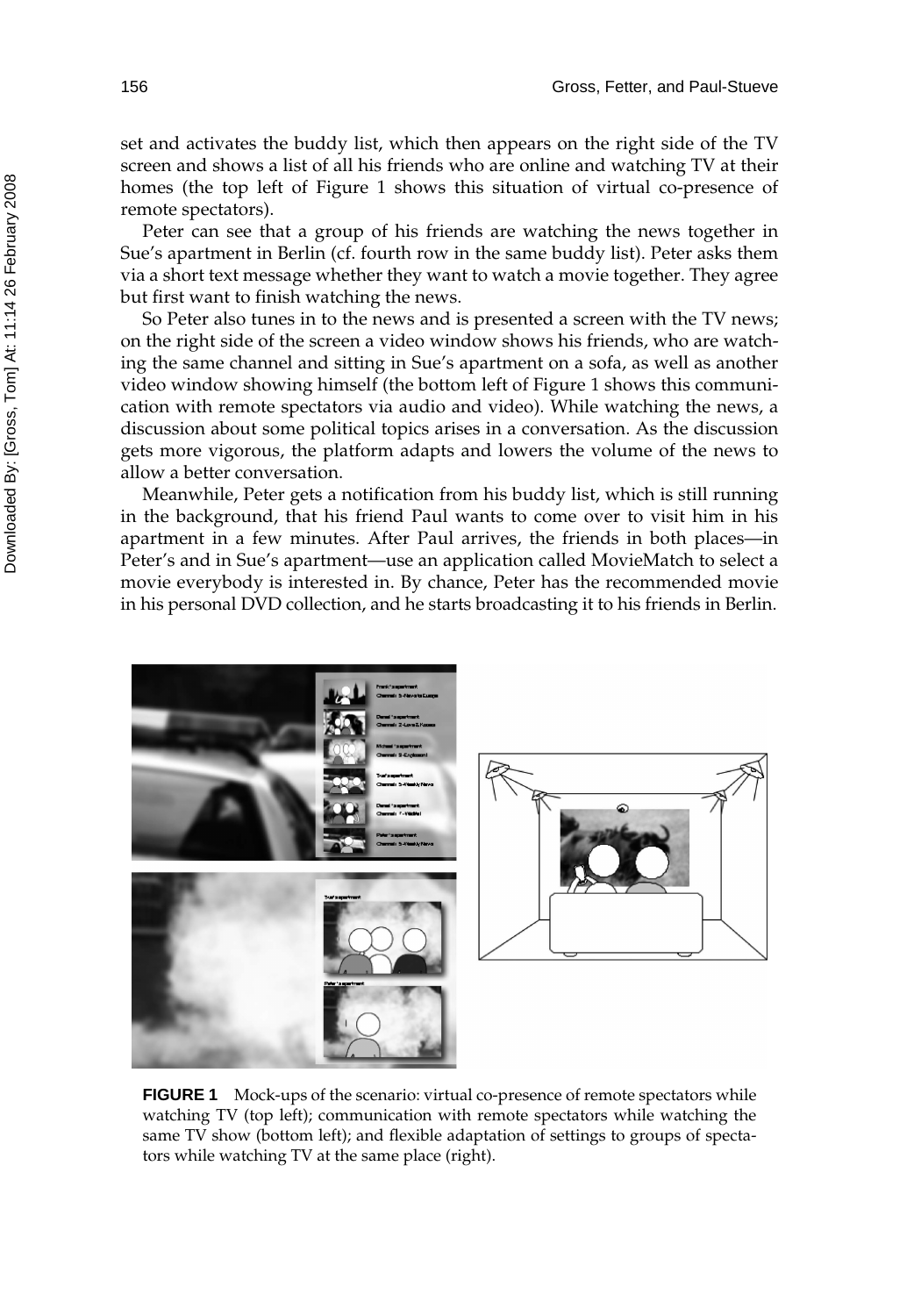set and activates the buddy list, which then appears on the right side of the TV screen and shows a list of all his friends who are online and watching TV at their homes (the top left of Figure 1 shows this situation of virtual co-presence of remote spectators).

Peter can see that a group of his friends are watching the news together in Sue's apartment in Berlin (cf. fourth row in the same buddy list). Peter asks them via a short text message whether they want to watch a movie together. They agree but first want to finish watching the news.

So Peter also tunes in to the news and is presented a screen with the TV news; on the right side of the screen a video window shows his friends, who are watching the same channel and sitting in Sue's apartment on a sofa, as well as another video window showing himself (the bottom left of Figure 1 shows this communication with remote spectators via audio and video). While watching the news, a discussion about some political topics arises in a conversation. As the discussion gets more vigorous, the platform adapts and lowers the volume of the news to allow a better conversation.

Meanwhile, Peter gets a notification from his buddy list, which is still running in the background, that his friend Paul wants to come over to visit him in his apartment in a few minutes. After Paul arrives, the friends in both places—in Peter's and in Sue's apartment—use an application called MovieMatch to select a movie everybody is interested in. By chance, Peter has the recommended movie in his personal DVD collection, and he starts broadcasting it to his friends in Berlin.



**FIGURE 1** Mock-ups of the scenario: virtual co-presence of remote spectators while watching TV (top left); communication with remote spectators while watching the same TV show (bottom left); and flexible adaptation of settings to groups of spectators while watching TV at the same place (right).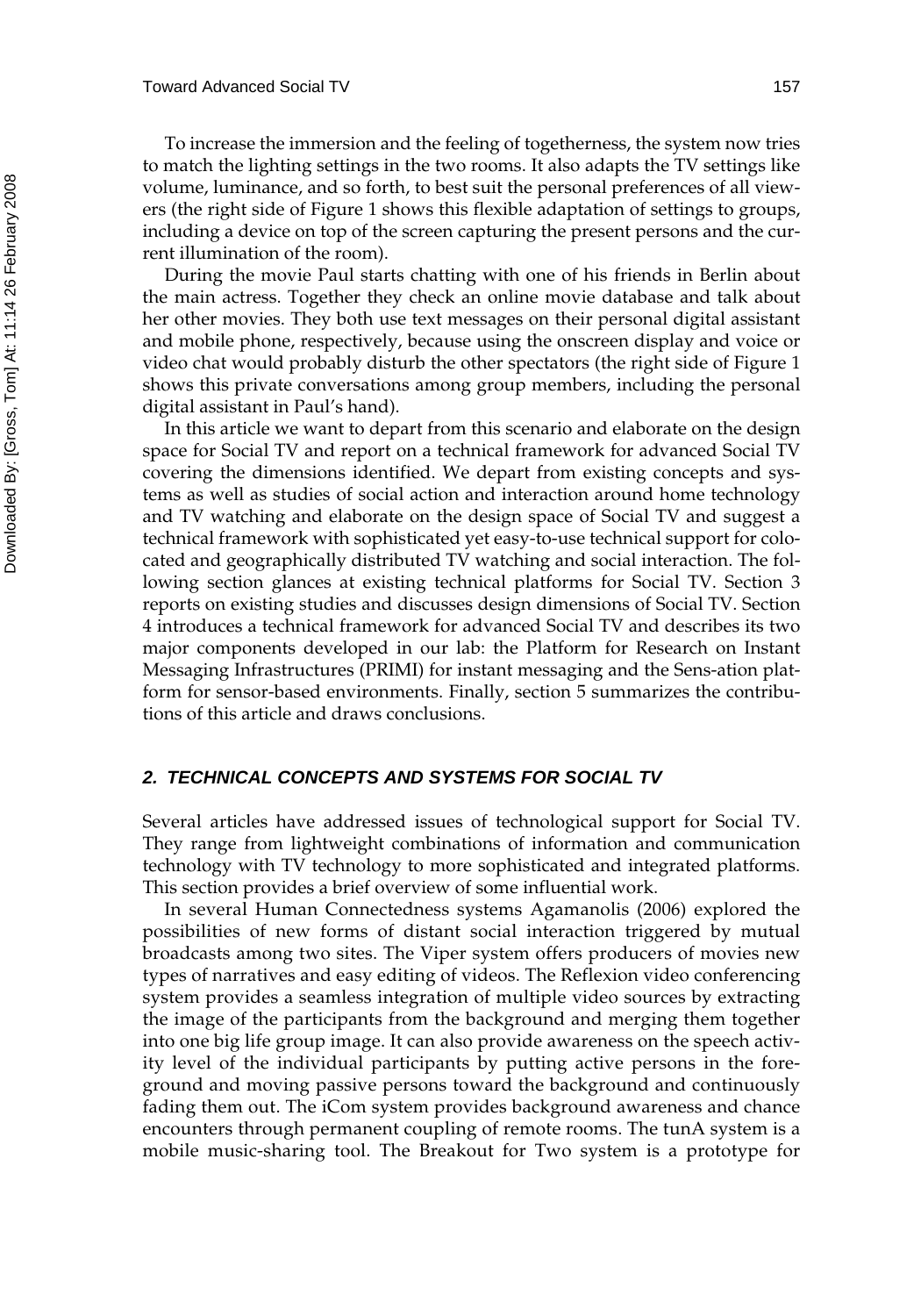To increase the immersion and the feeling of togetherness, the system now tries to match the lighting settings in the two rooms. It also adapts the TV settings like volume, luminance, and so forth, to best suit the personal preferences of all viewers (the right side of Figure 1 shows this flexible adaptation of settings to groups, including a device on top of the screen capturing the present persons and the current illumination of the room).

During the movie Paul starts chatting with one of his friends in Berlin about the main actress. Together they check an online movie database and talk about her other movies. They both use text messages on their personal digital assistant and mobile phone, respectively, because using the onscreen display and voice or video chat would probably disturb the other spectators (the right side of Figure 1 shows this private conversations among group members, including the personal digital assistant in Paul's hand).

In this article we want to depart from this scenario and elaborate on the design space for Social TV and report on a technical framework for advanced Social TV covering the dimensions identified. We depart from existing concepts and systems as well as studies of social action and interaction around home technology and TV watching and elaborate on the design space of Social TV and suggest a technical framework with sophisticated yet easy-to-use technical support for colocated and geographically distributed TV watching and social interaction. The following section glances at existing technical platforms for Social TV. Section 3 reports on existing studies and discusses design dimensions of Social TV. Section 4 introduces a technical framework for advanced Social TV and describes its two major components developed in our lab: the Platform for Research on Instant Messaging Infrastructures (PRIMI) for instant messaging and the Sens-ation platform for sensor-based environments. Finally, section 5 summarizes the contributions of this article and draws conclusions.

## *2. TECHNICAL CONCEPTS AND SYSTEMS FOR SOCIAL TV*

Several articles have addressed issues of technological support for Social TV. They range from lightweight combinations of information and communication technology with TV technology to more sophisticated and integrated platforms. This section provides a brief overview of some influential work.

In several Human Connectedness systems Agamanolis (2006) explored the possibilities of new forms of distant social interaction triggered by mutual broadcasts among two sites. The Viper system offers producers of movies new types of narratives and easy editing of videos. The Reflexion video conferencing system provides a seamless integration of multiple video sources by extracting the image of the participants from the background and merging them together into one big life group image. It can also provide awareness on the speech activity level of the individual participants by putting active persons in the foreground and moving passive persons toward the background and continuously fading them out. The iCom system provides background awareness and chance encounters through permanent coupling of remote rooms. The tunA system is a mobile music-sharing tool. The Breakout for Two system is a prototype for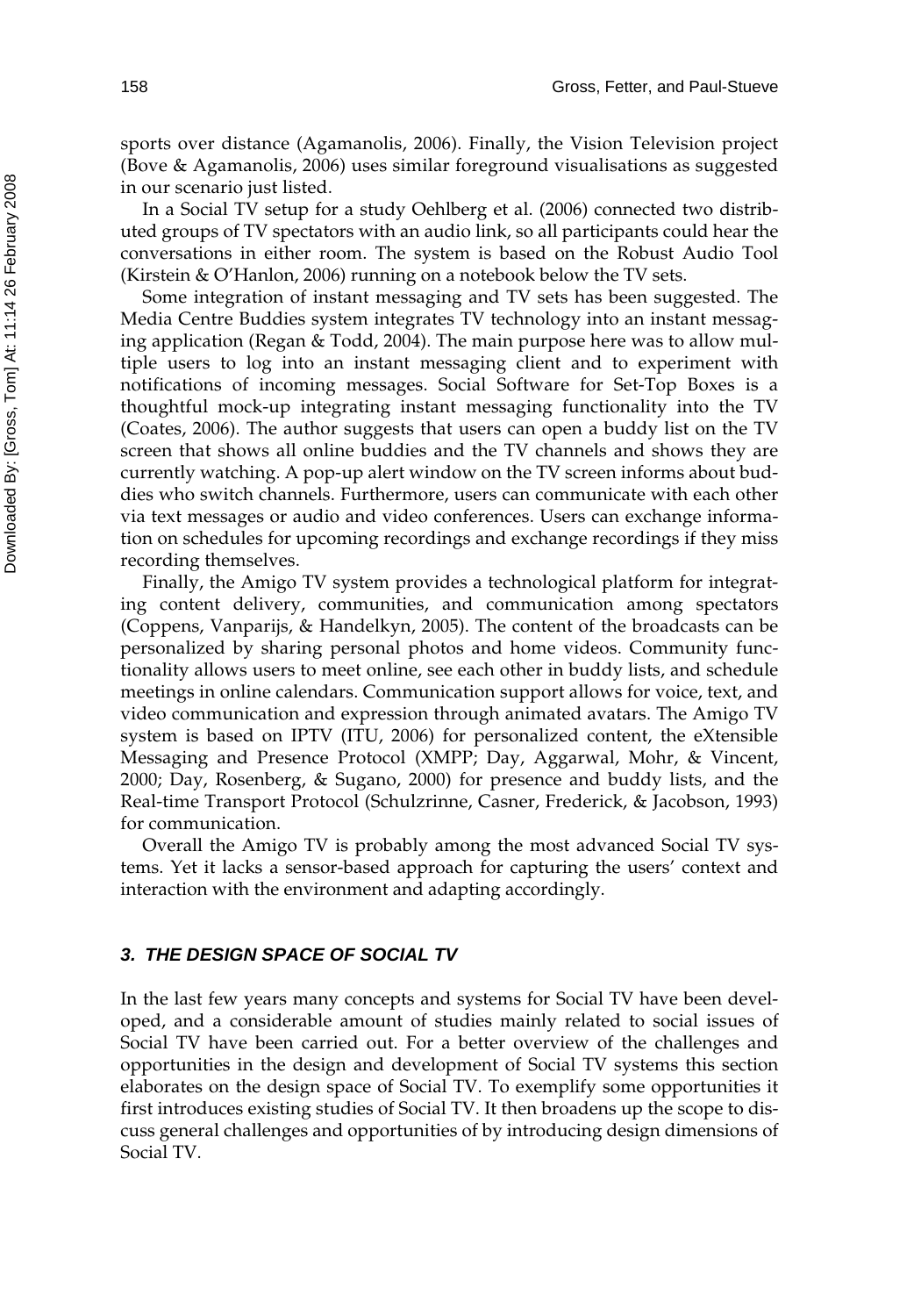sports over distance (Agamanolis, 2006). Finally, the Vision Television project (Bove & Agamanolis, 2006) uses similar foreground visualisations as suggested in our scenario just listed.

In a Social TV setup for a study Oehlberg et al. (2006) connected two distributed groups of TV spectators with an audio link, so all participants could hear the conversations in either room. The system is based on the Robust Audio Tool (Kirstein & O'Hanlon, 2006) running on a notebook below the TV sets.

Some integration of instant messaging and TV sets has been suggested. The Media Centre Buddies system integrates TV technology into an instant messaging application (Regan & Todd, 2004). The main purpose here was to allow multiple users to log into an instant messaging client and to experiment with notifications of incoming messages. Social Software for Set-Top Boxes is a thoughtful mock-up integrating instant messaging functionality into the TV (Coates, 2006). The author suggests that users can open a buddy list on the TV screen that shows all online buddies and the TV channels and shows they are currently watching. A pop-up alert window on the TV screen informs about buddies who switch channels. Furthermore, users can communicate with each other via text messages or audio and video conferences. Users can exchange information on schedules for upcoming recordings and exchange recordings if they miss recording themselves.

Finally, the Amigo TV system provides a technological platform for integrating content delivery, communities, and communication among spectators (Coppens, Vanparijs, & Handelkyn, 2005). The content of the broadcasts can be personalized by sharing personal photos and home videos. Community functionality allows users to meet online, see each other in buddy lists, and schedule meetings in online calendars. Communication support allows for voice, text, and video communication and expression through animated avatars. The Amigo TV system is based on IPTV (ITU, 2006) for personalized content, the eXtensible Messaging and Presence Protocol (XMPP; Day, Aggarwal, Mohr, & Vincent, 2000; Day, Rosenberg, & Sugano, 2000) for presence and buddy lists, and the Real-time Transport Protocol (Schulzrinne, Casner, Frederick, & Jacobson, 1993) for communication.

Overall the Amigo TV is probably among the most advanced Social TV systems. Yet it lacks a sensor-based approach for capturing the users' context and interaction with the environment and adapting accordingly.

## *3. THE DESIGN SPACE OF SOCIAL TV*

In the last few years many concepts and systems for Social TV have been developed, and a considerable amount of studies mainly related to social issues of Social TV have been carried out. For a better overview of the challenges and opportunities in the design and development of Social TV systems this section elaborates on the design space of Social TV. To exemplify some opportunities it first introduces existing studies of Social TV. It then broadens up the scope to discuss general challenges and opportunities of by introducing design dimensions of Social TV.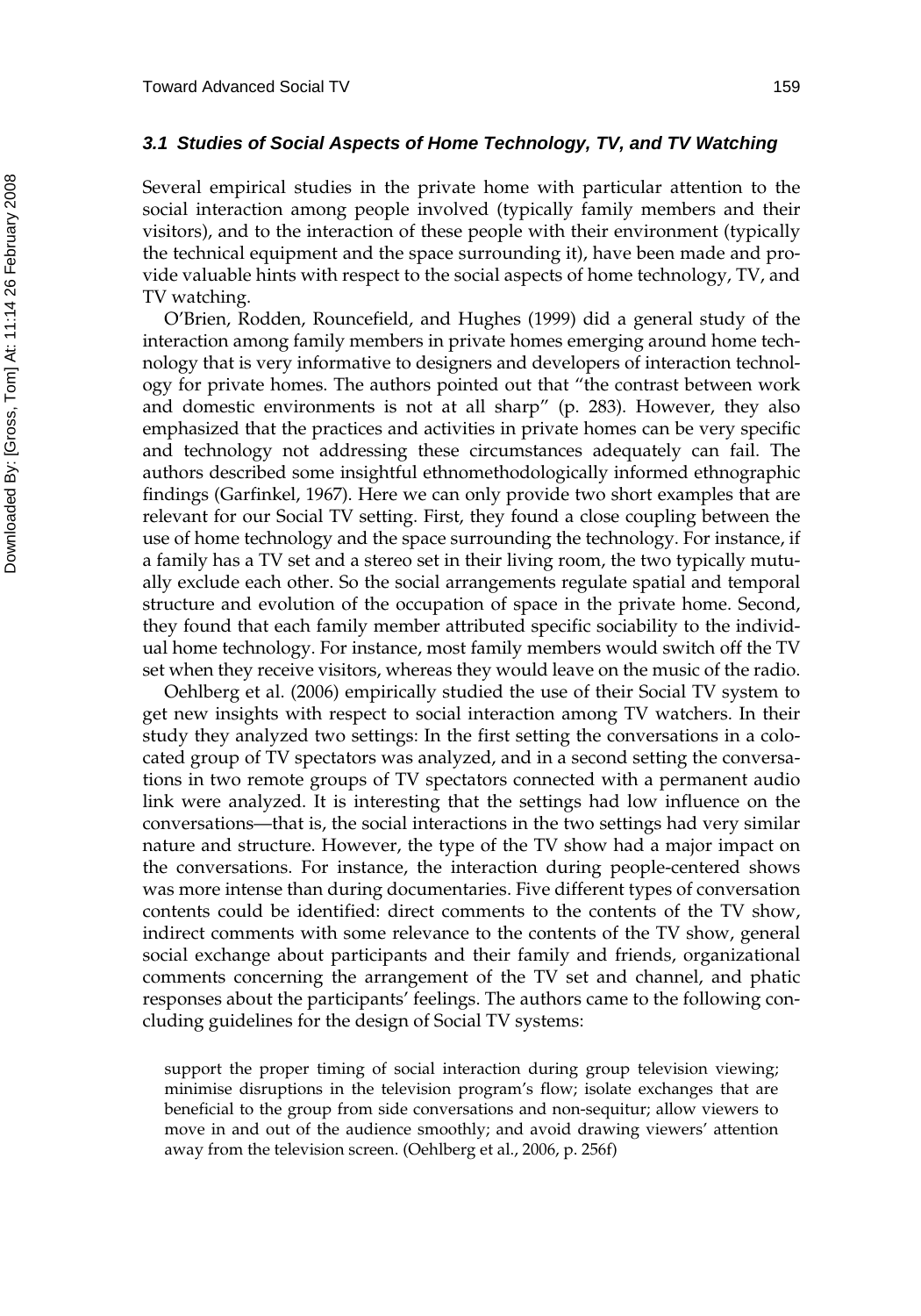#### *3.1 Studies of Social Aspects of Home Technology, TV, and TV Watching*

Several empirical studies in the private home with particular attention to the social interaction among people involved (typically family members and their visitors), and to the interaction of these people with their environment (typically the technical equipment and the space surrounding it), have been made and provide valuable hints with respect to the social aspects of home technology, TV, and TV watching.

O'Brien, Rodden, Rouncefield, and Hughes (1999) did a general study of the interaction among family members in private homes emerging around home technology that is very informative to designers and developers of interaction technology for private homes. The authors pointed out that "the contrast between work and domestic environments is not at all sharp" (p. 283). However, they also emphasized that the practices and activities in private homes can be very specific and technology not addressing these circumstances adequately can fail. The authors described some insightful ethnomethodologically informed ethnographic findings (Garfinkel, 1967). Here we can only provide two short examples that are relevant for our Social TV setting. First, they found a close coupling between the use of home technology and the space surrounding the technology. For instance, if a family has a TV set and a stereo set in their living room, the two typically mutually exclude each other. So the social arrangements regulate spatial and temporal structure and evolution of the occupation of space in the private home. Second, they found that each family member attributed specific sociability to the individual home technology. For instance, most family members would switch off the TV set when they receive visitors, whereas they would leave on the music of the radio.

Oehlberg et al. (2006) empirically studied the use of their Social TV system to get new insights with respect to social interaction among TV watchers. In their study they analyzed two settings: In the first setting the conversations in a colocated group of TV spectators was analyzed, and in a second setting the conversations in two remote groups of TV spectators connected with a permanent audio link were analyzed. It is interesting that the settings had low influence on the conversations—that is, the social interactions in the two settings had very similar nature and structure. However, the type of the TV show had a major impact on the conversations. For instance, the interaction during people-centered shows was more intense than during documentaries. Five different types of conversation contents could be identified: direct comments to the contents of the TV show, indirect comments with some relevance to the contents of the TV show, general social exchange about participants and their family and friends, organizational comments concerning the arrangement of the TV set and channel, and phatic responses about the participants' feelings. The authors came to the following concluding guidelines for the design of Social TV systems:

support the proper timing of social interaction during group television viewing; minimise disruptions in the television program's flow; isolate exchanges that are beneficial to the group from side conversations and non-sequitur; allow viewers to move in and out of the audience smoothly; and avoid drawing viewers' attention away from the television screen. (Oehlberg et al., 2006, p. 256f)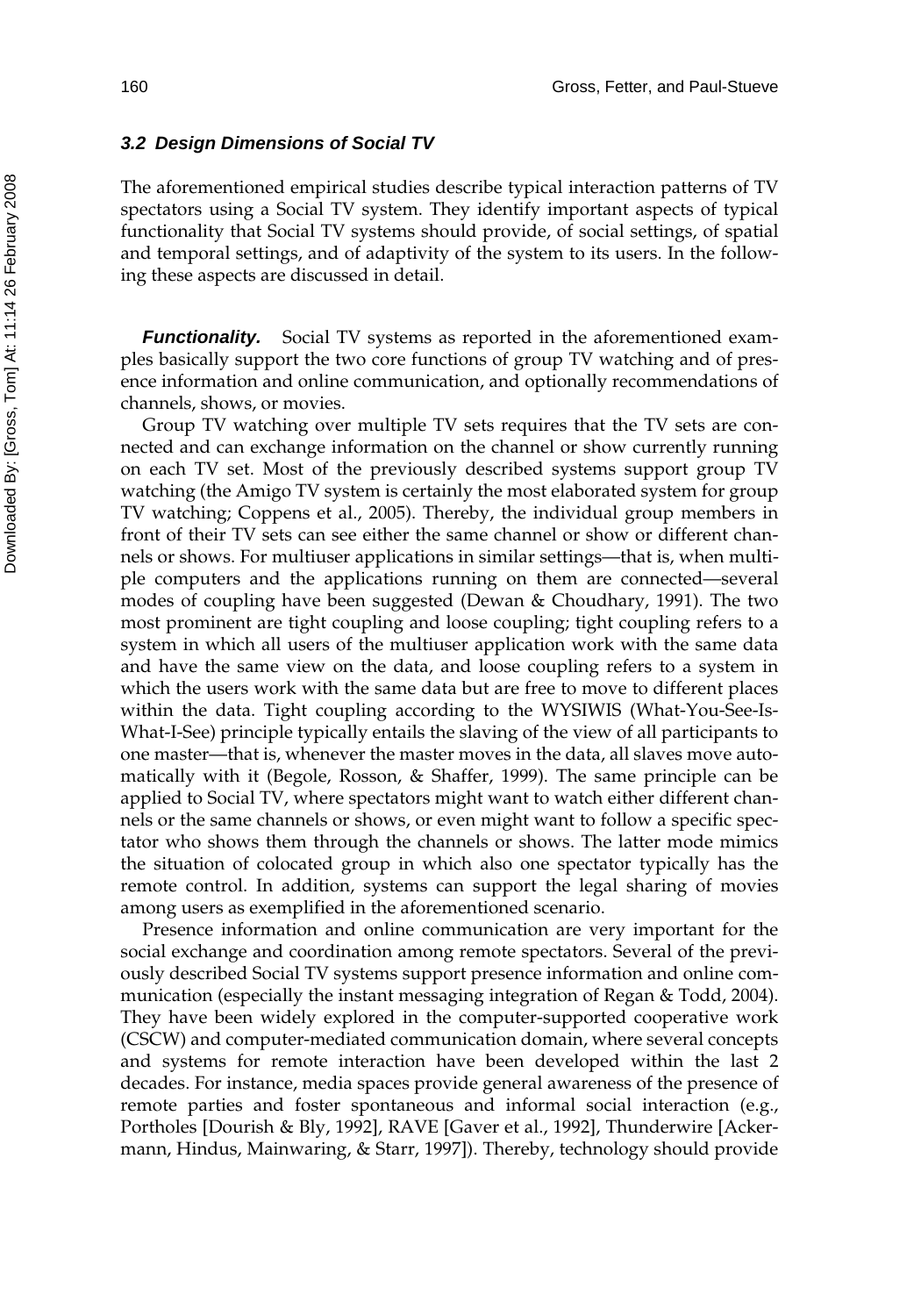#### *3.2 Design Dimensions of Social TV*

The aforementioned empirical studies describe typical interaction patterns of TV spectators using a Social TV system. They identify important aspects of typical functionality that Social TV systems should provide, of social settings, of spatial and temporal settings, and of adaptivity of the system to its users. In the following these aspects are discussed in detail.

*Functionality.* Social TV systems as reported in the aforementioned examples basically support the two core functions of group TV watching and of presence information and online communication, and optionally recommendations of channels, shows, or movies.

Group TV watching over multiple TV sets requires that the TV sets are connected and can exchange information on the channel or show currently running on each TV set. Most of the previously described systems support group TV watching (the Amigo TV system is certainly the most elaborated system for group TV watching; Coppens et al., 2005). Thereby, the individual group members in front of their TV sets can see either the same channel or show or different channels or shows. For multiuser applications in similar settings—that is, when multiple computers and the applications running on them are connected—several modes of coupling have been suggested (Dewan & Choudhary, 1991). The two most prominent are tight coupling and loose coupling; tight coupling refers to a system in which all users of the multiuser application work with the same data and have the same view on the data, and loose coupling refers to a system in which the users work with the same data but are free to move to different places within the data. Tight coupling according to the WYSIWIS (What-You-See-Is-What-I-See) principle typically entails the slaving of the view of all participants to one master—that is, whenever the master moves in the data, all slaves move automatically with it (Begole, Rosson, & Shaffer, 1999). The same principle can be applied to Social TV, where spectators might want to watch either different channels or the same channels or shows, or even might want to follow a specific spectator who shows them through the channels or shows. The latter mode mimics the situation of colocated group in which also one spectator typically has the remote control. In addition, systems can support the legal sharing of movies among users as exemplified in the aforementioned scenario.

Presence information and online communication are very important for the social exchange and coordination among remote spectators. Several of the previously described Social TV systems support presence information and online communication (especially the instant messaging integration of Regan & Todd, 2004). They have been widely explored in the computer-supported cooperative work (CSCW) and computer-mediated communication domain, where several concepts and systems for remote interaction have been developed within the last 2 decades. For instance, media spaces provide general awareness of the presence of remote parties and foster spontaneous and informal social interaction (e.g., Portholes [Dourish & Bly, 1992], RAVE [Gaver et al., 1992], Thunderwire [Ackermann, Hindus, Mainwaring, & Starr, 1997]). Thereby, technology should provide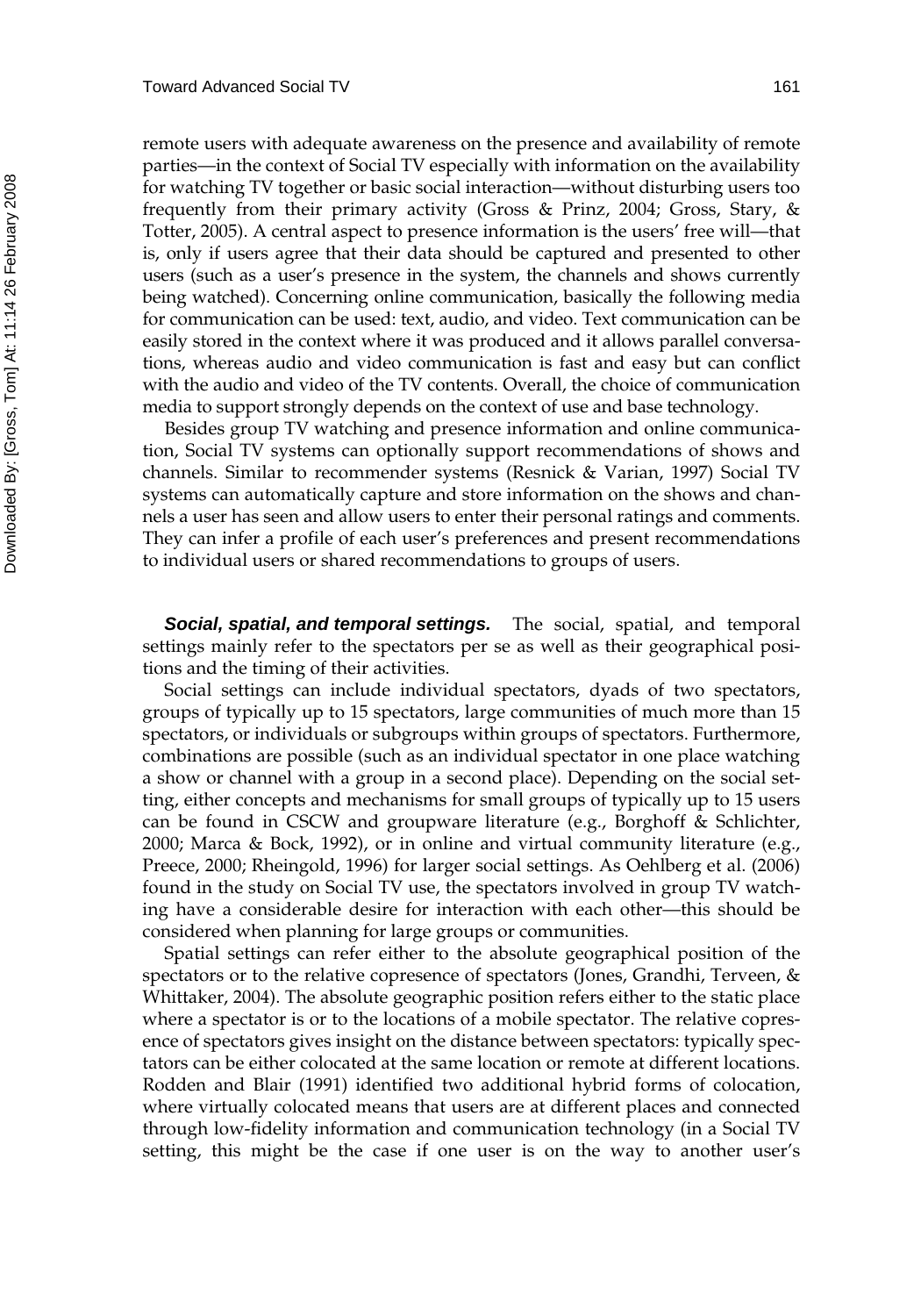remote users with adequate awareness on the presence and availability of remote parties—in the context of Social TV especially with information on the availability for watching TV together or basic social interaction—without disturbing users too frequently from their primary activity (Gross & Prinz, 2004; Gross, Stary, & Totter, 2005). A central aspect to presence information is the users' free will—that is, only if users agree that their data should be captured and presented to other users (such as a user's presence in the system, the channels and shows currently being watched). Concerning online communication, basically the following media for communication can be used: text, audio, and video. Text communication can be easily stored in the context where it was produced and it allows parallel conversations, whereas audio and video communication is fast and easy but can conflict with the audio and video of the TV contents. Overall, the choice of communication media to support strongly depends on the context of use and base technology.

Besides group TV watching and presence information and online communication, Social TV systems can optionally support recommendations of shows and channels. Similar to recommender systems (Resnick & Varian, 1997) Social TV systems can automatically capture and store information on the shows and channels a user has seen and allow users to enter their personal ratings and comments. They can infer a profile of each user's preferences and present recommendations to individual users or shared recommendations to groups of users.

*Social, spatial, and temporal settings.* The social, spatial, and temporal settings mainly refer to the spectators per se as well as their geographical positions and the timing of their activities.

Social settings can include individual spectators, dyads of two spectators, groups of typically up to 15 spectators, large communities of much more than 15 spectators, or individuals or subgroups within groups of spectators. Furthermore, combinations are possible (such as an individual spectator in one place watching a show or channel with a group in a second place). Depending on the social setting, either concepts and mechanisms for small groups of typically up to 15 users can be found in CSCW and groupware literature (e.g., Borghoff & Schlichter, 2000; Marca & Bock, 1992), or in online and virtual community literature (e.g., Preece, 2000; Rheingold, 1996) for larger social settings. As Oehlberg et al. (2006) found in the study on Social TV use, the spectators involved in group TV watching have a considerable desire for interaction with each other—this should be considered when planning for large groups or communities.

Spatial settings can refer either to the absolute geographical position of the spectators or to the relative copresence of spectators (Jones, Grandhi, Terveen, & Whittaker, 2004). The absolute geographic position refers either to the static place where a spectator is or to the locations of a mobile spectator. The relative copresence of spectators gives insight on the distance between spectators: typically spectators can be either colocated at the same location or remote at different locations. Rodden and Blair (1991) identified two additional hybrid forms of colocation, where virtually colocated means that users are at different places and connected through low-fidelity information and communication technology (in a Social TV setting, this might be the case if one user is on the way to another user's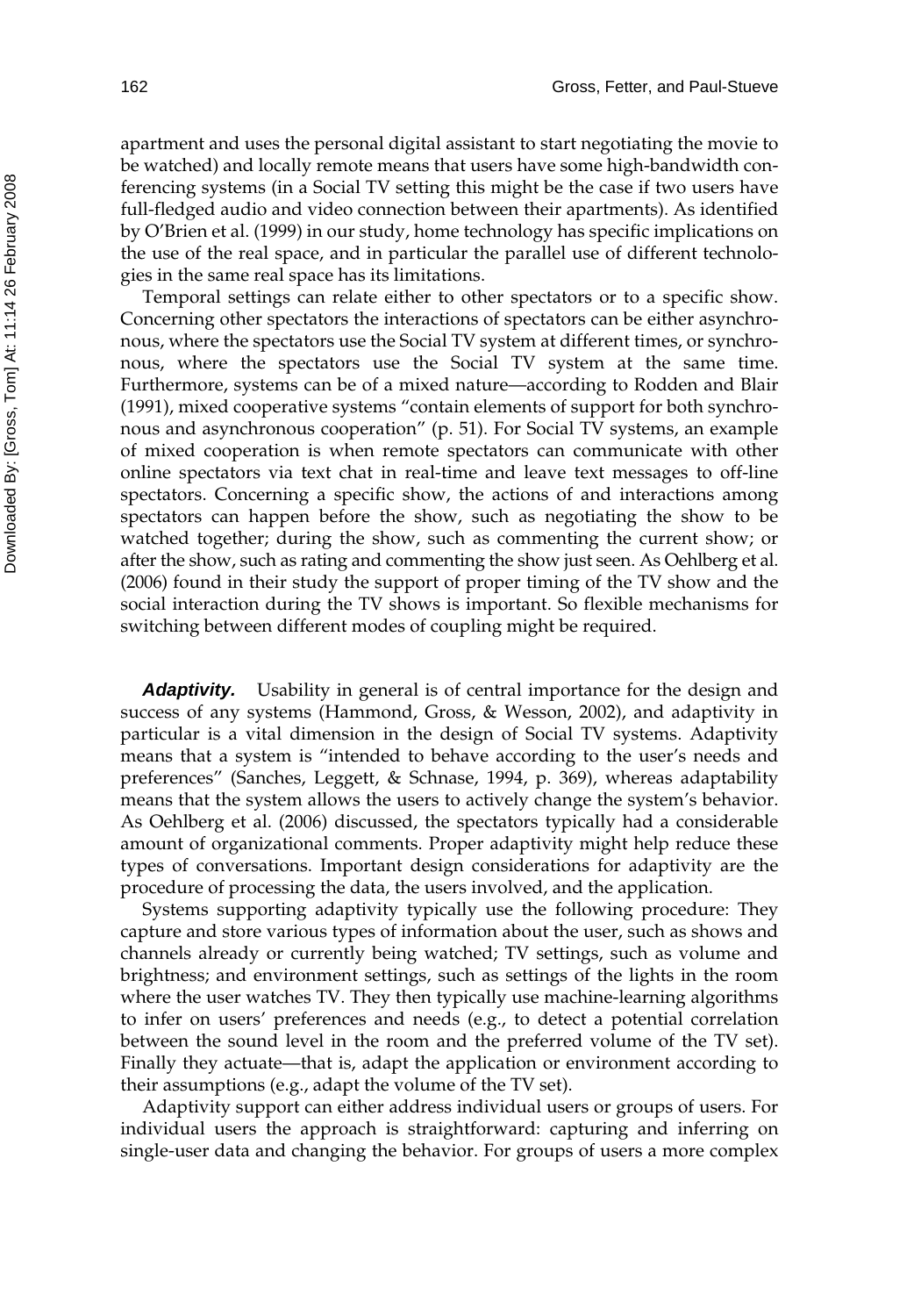apartment and uses the personal digital assistant to start negotiating the movie to be watched) and locally remote means that users have some high-bandwidth conferencing systems (in a Social TV setting this might be the case if two users have full-fledged audio and video connection between their apartments). As identified by O'Brien et al. (1999) in our study, home technology has specific implications on the use of the real space, and in particular the parallel use of different technologies in the same real space has its limitations.

Temporal settings can relate either to other spectators or to a specific show. Concerning other spectators the interactions of spectators can be either asynchronous, where the spectators use the Social TV system at different times, or synchronous, where the spectators use the Social TV system at the same time. Furthermore, systems can be of a mixed nature—according to Rodden and Blair (1991), mixed cooperative systems "contain elements of support for both synchronous and asynchronous cooperation" (p. 51). For Social TV systems, an example of mixed cooperation is when remote spectators can communicate with other online spectators via text chat in real-time and leave text messages to off-line spectators. Concerning a specific show, the actions of and interactions among spectators can happen before the show, such as negotiating the show to be watched together; during the show, such as commenting the current show; or after the show, such as rating and commenting the show just seen. As Oehlberg et al. (2006) found in their study the support of proper timing of the TV show and the social interaction during the TV shows is important. So flexible mechanisms for switching between different modes of coupling might be required.

*Adaptivity.* Usability in general is of central importance for the design and success of any systems (Hammond, Gross, & Wesson, 2002), and adaptivity in particular is a vital dimension in the design of Social TV systems. Adaptivity means that a system is "intended to behave according to the user's needs and preferences" (Sanches, Leggett, & Schnase, 1994, p. 369), whereas adaptability means that the system allows the users to actively change the system's behavior. As Oehlberg et al. (2006) discussed, the spectators typically had a considerable amount of organizational comments. Proper adaptivity might help reduce these types of conversations. Important design considerations for adaptivity are the procedure of processing the data, the users involved, and the application.

Systems supporting adaptivity typically use the following procedure: They capture and store various types of information about the user, such as shows and channels already or currently being watched; TV settings, such as volume and brightness; and environment settings, such as settings of the lights in the room where the user watches TV. They then typically use machine-learning algorithms to infer on users' preferences and needs (e.g., to detect a potential correlation between the sound level in the room and the preferred volume of the TV set). Finally they actuate—that is, adapt the application or environment according to their assumptions (e.g., adapt the volume of the TV set).

Adaptivity support can either address individual users or groups of users. For individual users the approach is straightforward: capturing and inferring on single-user data and changing the behavior. For groups of users a more complex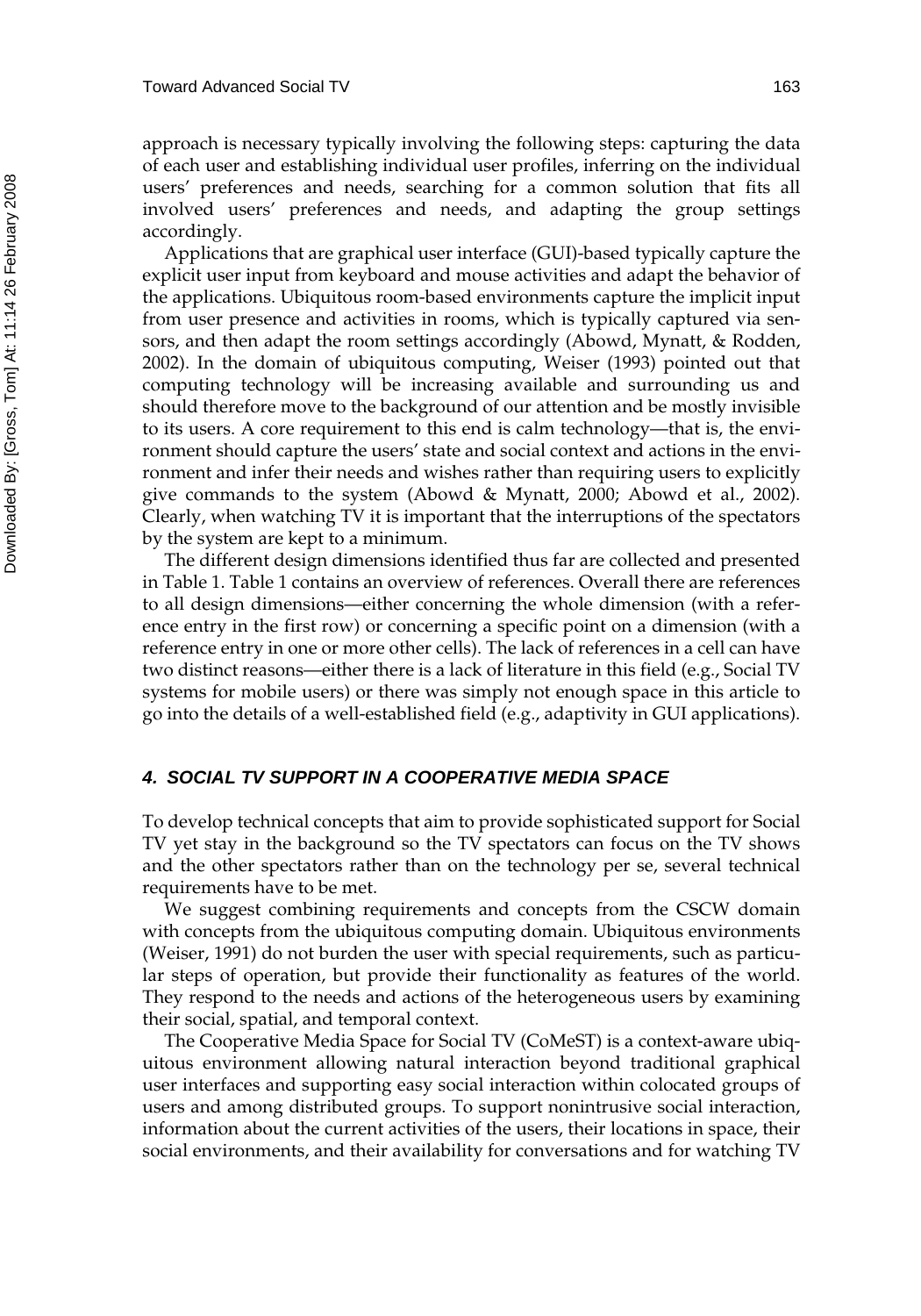approach is necessary typically involving the following steps: capturing the data of each user and establishing individual user profiles, inferring on the individual users' preferences and needs, searching for a common solution that fits all involved users' preferences and needs, and adapting the group settings accordingly.

Applications that are graphical user interface (GUI)-based typically capture the explicit user input from keyboard and mouse activities and adapt the behavior of the applications. Ubiquitous room-based environments capture the implicit input from user presence and activities in rooms, which is typically captured via sensors, and then adapt the room settings accordingly (Abowd, Mynatt, & Rodden, 2002). In the domain of ubiquitous computing, Weiser (1993) pointed out that computing technology will be increasing available and surrounding us and should therefore move to the background of our attention and be mostly invisible to its users. A core requirement to this end is calm technology—that is, the environment should capture the users' state and social context and actions in the environment and infer their needs and wishes rather than requiring users to explicitly give commands to the system (Abowd & Mynatt, 2000; Abowd et al., 2002). Clearly, when watching TV it is important that the interruptions of the spectators by the system are kept to a minimum.

The different design dimensions identified thus far are collected and presented in Table 1. Table 1 contains an overview of references. Overall there are references to all design dimensions—either concerning the whole dimension (with a reference entry in the first row) or concerning a specific point on a dimension (with a reference entry in one or more other cells). The lack of references in a cell can have two distinct reasons—either there is a lack of literature in this field (e.g., Social TV systems for mobile users) or there was simply not enough space in this article to go into the details of a well-established field (e.g., adaptivity in GUI applications).

## *4. SOCIAL TV SUPPORT IN A COOPERATIVE MEDIA SPACE*

To develop technical concepts that aim to provide sophisticated support for Social TV yet stay in the background so the TV spectators can focus on the TV shows and the other spectators rather than on the technology per se, several technical requirements have to be met.

We suggest combining requirements and concepts from the CSCW domain with concepts from the ubiquitous computing domain. Ubiquitous environments (Weiser, 1991) do not burden the user with special requirements, such as particular steps of operation, but provide their functionality as features of the world. They respond to the needs and actions of the heterogeneous users by examining their social, spatial, and temporal context.

The Cooperative Media Space for Social TV (CoMeST) is a context-aware ubiquitous environment allowing natural interaction beyond traditional graphical user interfaces and supporting easy social interaction within colocated groups of users and among distributed groups. To support nonintrusive social interaction, information about the current activities of the users, their locations in space, their social environments, and their availability for conversations and for watching TV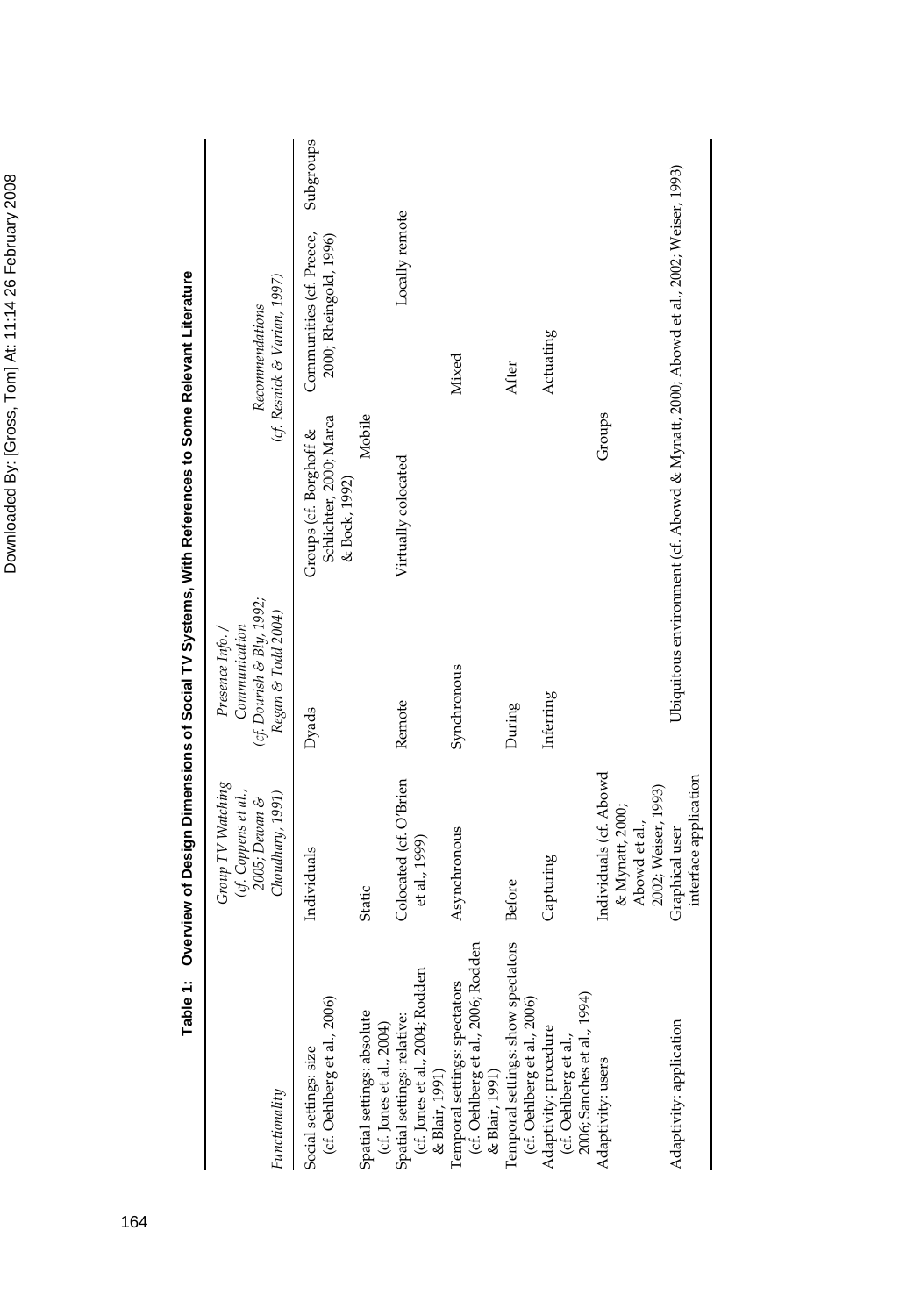| Table 1:                                                                                                                    |                                                                                   |                                                                                      | Overview of Design Dimensions of Social TV Systems, With References to Some Relevant Literature |                                                                                     |           |
|-----------------------------------------------------------------------------------------------------------------------------|-----------------------------------------------------------------------------------|--------------------------------------------------------------------------------------|-------------------------------------------------------------------------------------------------|-------------------------------------------------------------------------------------|-----------|
| Functionality                                                                                                               | Group TV Watching<br>(cf. Coppens et al.,<br>Choudhary, 1991)<br>2005; Dewan &    | (cf. Dourish & Bly, 1992;<br>Regan & Todd 2004)<br>Communication<br>Presence Info. / |                                                                                                 | (cf. Resnick & Varian, 1997)<br>Recommendations                                     |           |
| Social settings: size<br>(cf. Oehlberg et al., 2006)                                                                        | Individuals                                                                       | Dyads                                                                                | Schlichter, 2000; Marca<br>Groups (cf. Borghoff &<br>& Bock, 1992)                              | Communities (cf. Preece,<br>2000; Rheingold, 1996)                                  | Subgroups |
| Spatial settings: absolute<br>$(ct.$ Jones et al., $2004$ )                                                                 | Static                                                                            |                                                                                      | Mobile                                                                                          |                                                                                     |           |
| (cf. Jones et al., 2004; Rodden<br>& Blair, 1991)<br>Spatial settings: relative:                                            | Colocated (cf. O'Brien<br>et al., 1999)                                           | Remote                                                                               | Virtually colocated                                                                             | Locally remote                                                                      |           |
| Temporal settings: spectators<br>(cf. Oehlberg et al., 2006; Rodden<br>& Blair, 1991)<br>Temporal settings: show spectators | Asynchronous                                                                      | Synchronous                                                                          |                                                                                                 | Mixed                                                                               |           |
| (cf. Oehlberg et al., 2006)                                                                                                 | Before                                                                            | During                                                                               |                                                                                                 | After                                                                               |           |
| Adaptivity: procedure<br>(cf. Oehlberg et al.,<br>2006; Sanches et al., 1994)                                               | Capturing                                                                         | Inferring                                                                            |                                                                                                 | Actuating                                                                           |           |
| Adaptivity: users                                                                                                           | Individuals (cf. Abowd<br>2002; Weiser, 1993)<br>& Mynatt, 2000;<br>Abowd et al., |                                                                                      | Groups                                                                                          |                                                                                     |           |
| Adaptivity: application                                                                                                     | interface application<br>Graphical user                                           |                                                                                      |                                                                                                 | Ubiquitous environment (cf. Abowd & Mynatt, 2000; Abowd et al., 2002; Weiser, 1993) |           |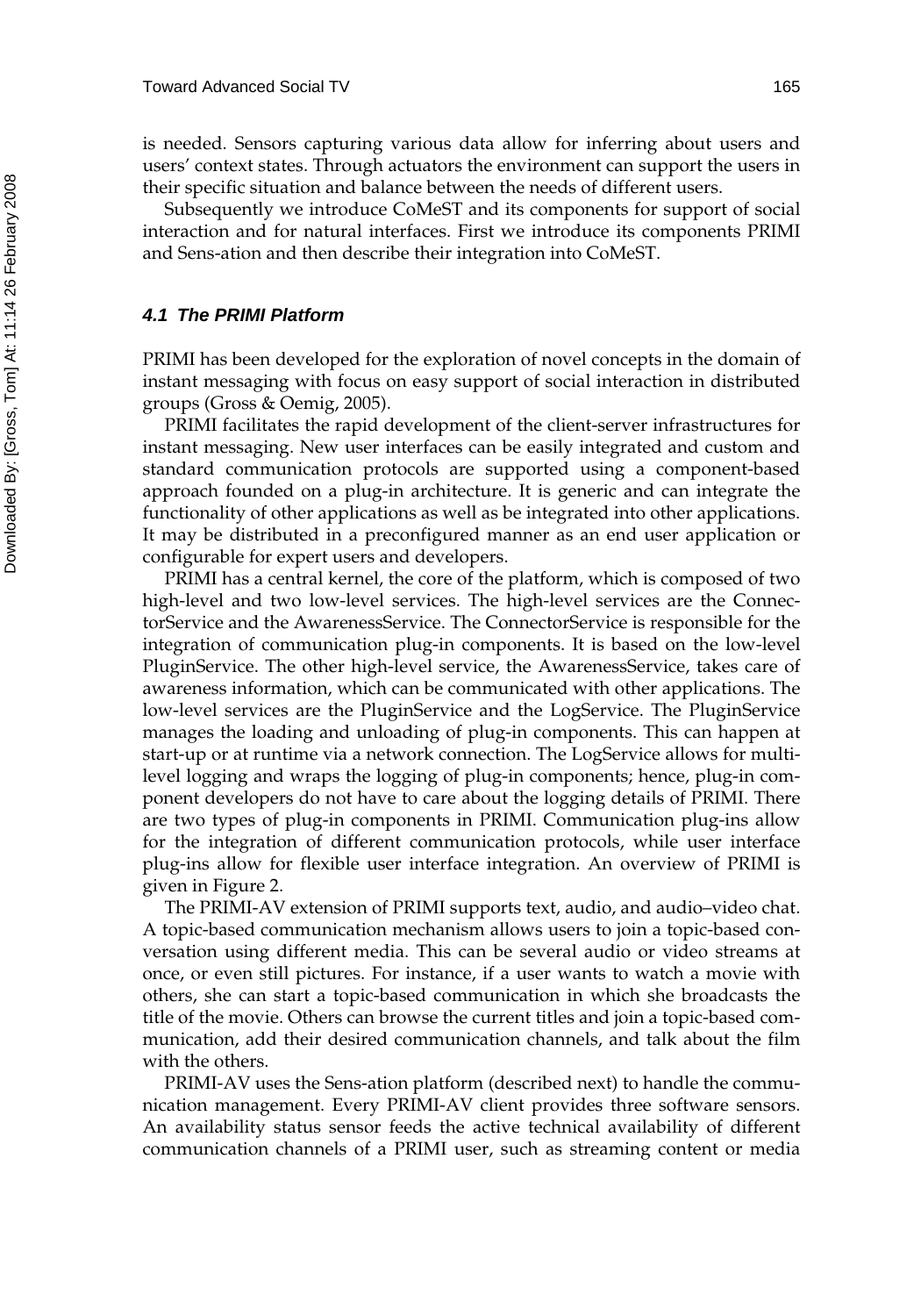is needed. Sensors capturing various data allow for inferring about users and users' context states. Through actuators the environment can support the users in their specific situation and balance between the needs of different users.

Subsequently we introduce CoMeST and its components for support of social interaction and for natural interfaces. First we introduce its components PRIMI and Sens-ation and then describe their integration into CoMeST.

### *4.1 The PRIMI Platform*

PRIMI has been developed for the exploration of novel concepts in the domain of instant messaging with focus on easy support of social interaction in distributed groups (Gross & Oemig, 2005).

PRIMI facilitates the rapid development of the client-server infrastructures for instant messaging. New user interfaces can be easily integrated and custom and standard communication protocols are supported using a component-based approach founded on a plug-in architecture. It is generic and can integrate the functionality of other applications as well as be integrated into other applications. It may be distributed in a preconfigured manner as an end user application or configurable for expert users and developers.

PRIMI has a central kernel, the core of the platform, which is composed of two high-level and two low-level services. The high-level services are the ConnectorService and the AwarenessService. The ConnectorService is responsible for the integration of communication plug-in components. It is based on the low-level PluginService. The other high-level service, the AwarenessService, takes care of awareness information, which can be communicated with other applications. The low-level services are the PluginService and the LogService. The PluginService manages the loading and unloading of plug-in components. This can happen at start-up or at runtime via a network connection. The LogService allows for multilevel logging and wraps the logging of plug-in components; hence, plug-in component developers do not have to care about the logging details of PRIMI. There are two types of plug-in components in PRIMI. Communication plug-ins allow for the integration of different communication protocols, while user interface plug-ins allow for flexible user interface integration. An overview of PRIMI is given in Figure 2.

The PRIMI-AV extension of PRIMI supports text, audio, and audio–video chat. A topic-based communication mechanism allows users to join a topic-based conversation using different media. This can be several audio or video streams at once, or even still pictures. For instance, if a user wants to watch a movie with others, she can start a topic-based communication in which she broadcasts the title of the movie. Others can browse the current titles and join a topic-based communication, add their desired communication channels, and talk about the film with the others.

PRIMI-AV uses the Sens-ation platform (described next) to handle the communication management. Every PRIMI-AV client provides three software sensors. An availability status sensor feeds the active technical availability of different communication channels of a PRIMI user, such as streaming content or media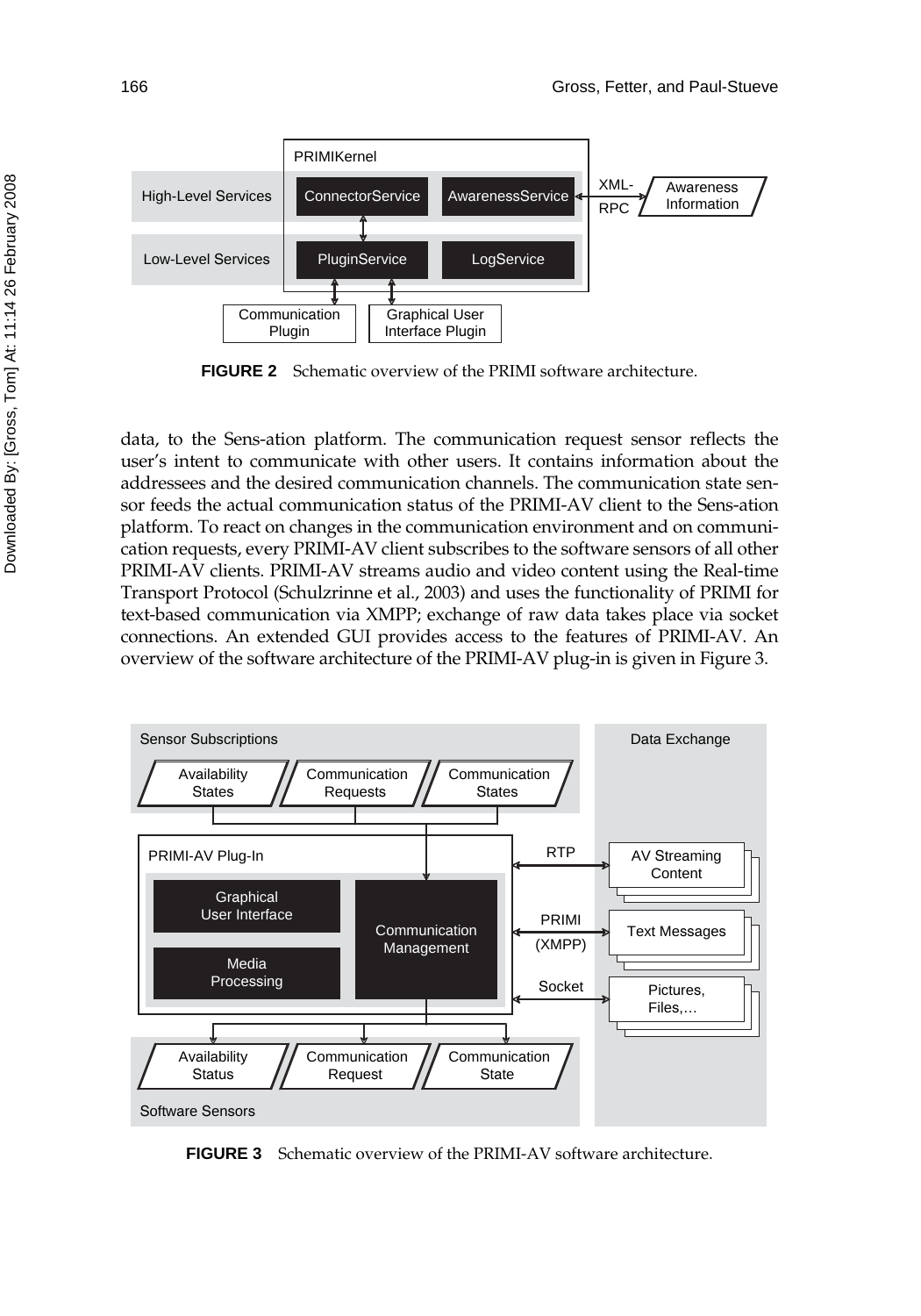

**FIGURE 2** Schematic overview of the PRIMI software architecture.

data, to the Sens-ation platform. The communication request sensor reflects the user's intent to communicate with other users. It contains information about the addressees and the desired communication channels. The communication state sensor feeds the actual communication status of the PRIMI-AV client to the Sens-ation platform. To react on changes in the communication environment and on communication requests, every PRIMI-AV client subscribes to the software sensors of all other PRIMI-AV clients. PRIMI-AV streams audio and video content using the Real-time Transport Protocol (Schulzrinne et al., 2003) and uses the functionality of PRIMI for text-based communication via XMPP; exchange of raw data takes place via socket connections. An extended GUI provides access to the features of PRIMI-AV. An overview of the software architecture of the PRIMI-AV plug-in is given in Figure 3.



**FIGURE 3** Schematic overview of the PRIMI-AV software architecture.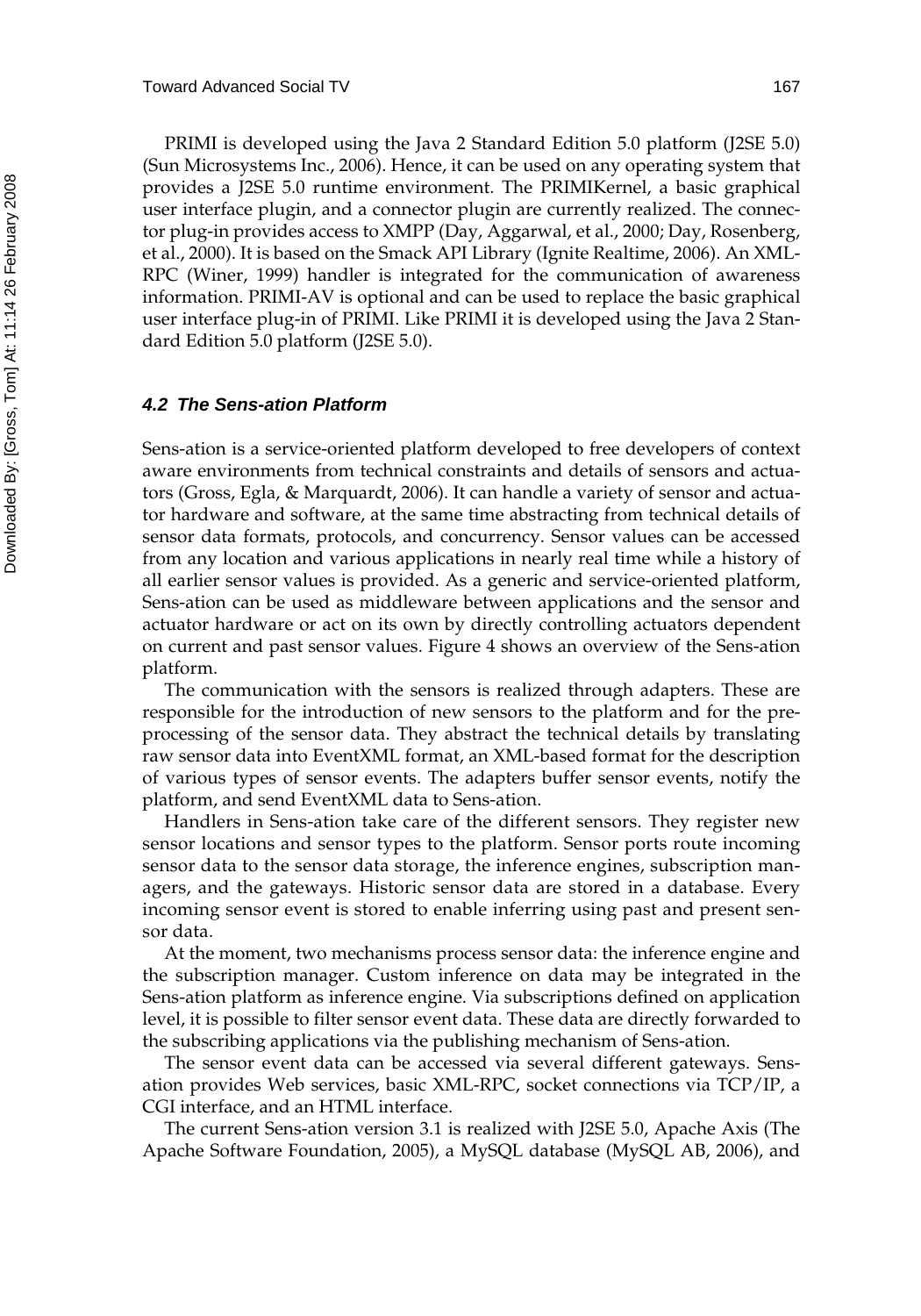#### **Toward Advanced Social TV** 167

PRIMI is developed using the Java 2 Standard Edition 5.0 platform (J2SE 5.0) (Sun Microsystems Inc., 2006). Hence, it can be used on any operating system that provides a J2SE 5.0 runtime environment. The PRIMIKernel, a basic graphical user interface plugin, and a connector plugin are currently realized. The connector plug-in provides access to XMPP (Day, Aggarwal, et al., 2000; Day, Rosenberg, et al., 2000). It is based on the Smack API Library (Ignite Realtime, 2006). An XML-RPC (Winer, 1999) handler is integrated for the communication of awareness information. PRIMI-AV is optional and can be used to replace the basic graphical user interface plug-in of PRIMI. Like PRIMI it is developed using the Java 2 Standard Edition 5.0 platform (J2SE 5.0).

#### *4.2 The Sens-ation Platform*

Sens-ation is a service-oriented platform developed to free developers of context aware environments from technical constraints and details of sensors and actuators (Gross, Egla, & Marquardt, 2006). It can handle a variety of sensor and actuator hardware and software, at the same time abstracting from technical details of sensor data formats, protocols, and concurrency. Sensor values can be accessed from any location and various applications in nearly real time while a history of all earlier sensor values is provided. As a generic and service-oriented platform, Sens-ation can be used as middleware between applications and the sensor and actuator hardware or act on its own by directly controlling actuators dependent on current and past sensor values. Figure 4 shows an overview of the Sens-ation platform.

The communication with the sensors is realized through adapters. These are responsible for the introduction of new sensors to the platform and for the preprocessing of the sensor data. They abstract the technical details by translating raw sensor data into EventXML format, an XML-based format for the description of various types of sensor events. The adapters buffer sensor events, notify the platform, and send EventXML data to Sens-ation.

Handlers in Sens-ation take care of the different sensors. They register new sensor locations and sensor types to the platform. Sensor ports route incoming sensor data to the sensor data storage, the inference engines, subscription managers, and the gateways. Historic sensor data are stored in a database. Every incoming sensor event is stored to enable inferring using past and present sensor data.

At the moment, two mechanisms process sensor data: the inference engine and the subscription manager. Custom inference on data may be integrated in the Sens-ation platform as inference engine. Via subscriptions defined on application level, it is possible to filter sensor event data. These data are directly forwarded to the subscribing applications via the publishing mechanism of Sens-ation.

The sensor event data can be accessed via several different gateways. Sensation provides Web services, basic XML-RPC, socket connections via TCP/IP, a CGI interface, and an HTML interface.

The current Sens-ation version 3.1 is realized with J2SE 5.0, Apache Axis (The Apache Software Foundation, 2005), a MySQL database (MySQL AB, 2006), and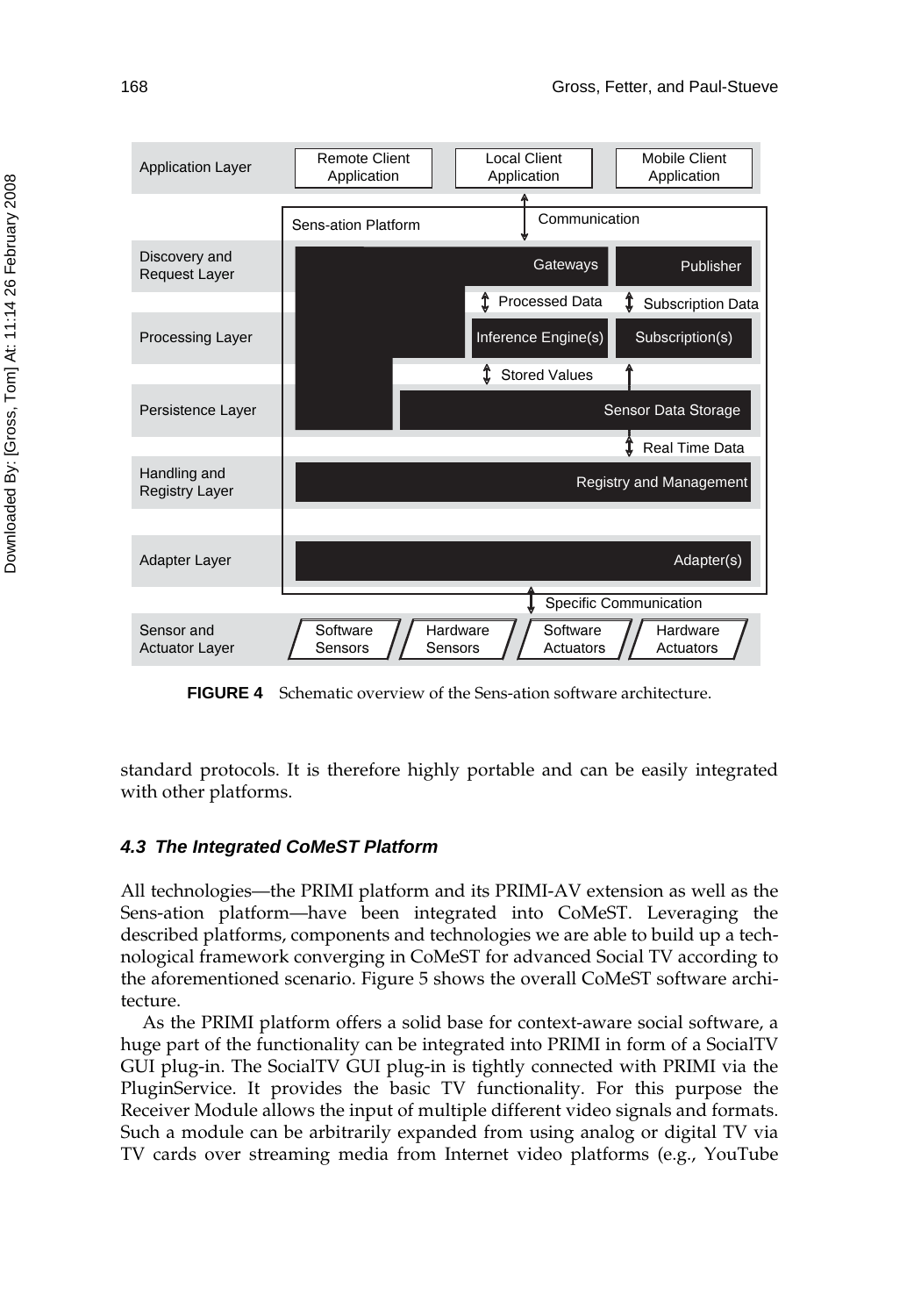

**FIGURE 4** Schematic overview of the Sens-ation software architecture.

standard protocols. It is therefore highly portable and can be easily integrated with other platforms.

## *4.3 The Integrated CoMeST Platform*

All technologies—the PRIMI platform and its PRIMI-AV extension as well as the Sens-ation platform—have been integrated into CoMeST. Leveraging the described platforms, components and technologies we are able to build up a technological framework converging in CoMeST for advanced Social TV according to the aforementioned scenario. Figure 5 shows the overall CoMeST software architecture.

As the PRIMI platform offers a solid base for context-aware social software, a huge part of the functionality can be integrated into PRIMI in form of a SocialTV GUI plug-in. The SocialTV GUI plug-in is tightly connected with PRIMI via the PluginService. It provides the basic TV functionality. For this purpose the Receiver Module allows the input of multiple different video signals and formats. Such a module can be arbitrarily expanded from using analog or digital TV via TV cards over streaming media from Internet video platforms (e.g., YouTube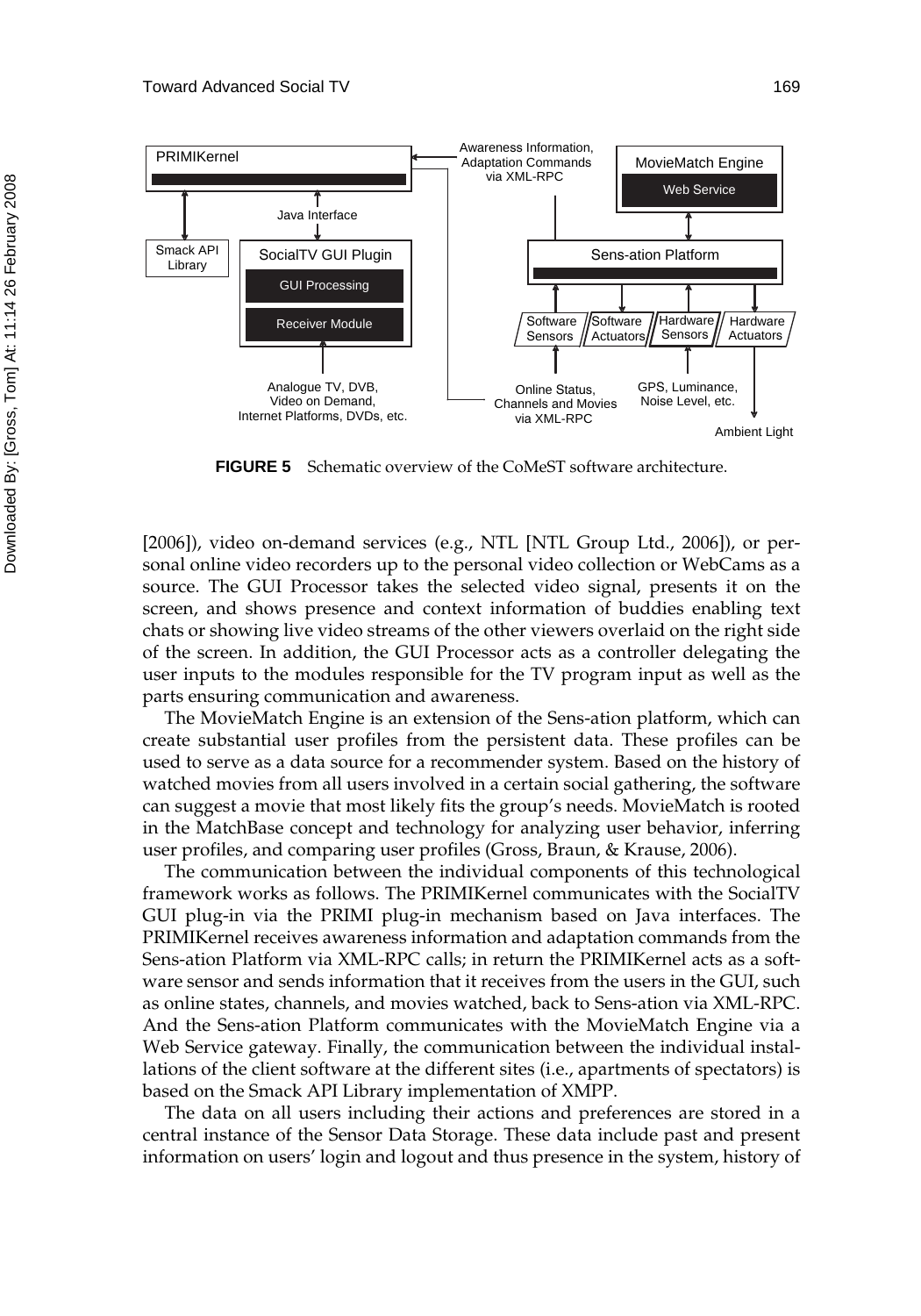

**FIGURE 5** Schematic overview of the CoMeST software architecture.

[2006]), video on-demand services (e.g., NTL [NTL Group Ltd., 2006]), or personal online video recorders up to the personal video collection or WebCams as a source. The GUI Processor takes the selected video signal, presents it on the screen, and shows presence and context information of buddies enabling text chats or showing live video streams of the other viewers overlaid on the right side of the screen. In addition, the GUI Processor acts as a controller delegating the user inputs to the modules responsible for the TV program input as well as the parts ensuring communication and awareness.

The MovieMatch Engine is an extension of the Sens-ation platform, which can create substantial user profiles from the persistent data. These profiles can be used to serve as a data source for a recommender system. Based on the history of watched movies from all users involved in a certain social gathering, the software can suggest a movie that most likely fits the group's needs. MovieMatch is rooted in the MatchBase concept and technology for analyzing user behavior, inferring user profiles, and comparing user profiles (Gross, Braun, & Krause, 2006).

The communication between the individual components of this technological framework works as follows. The PRIMIKernel communicates with the SocialTV GUI plug-in via the PRIMI plug-in mechanism based on Java interfaces. The PRIMIKernel receives awareness information and adaptation commands from the Sens-ation Platform via XML-RPC calls; in return the PRIMIKernel acts as a software sensor and sends information that it receives from the users in the GUI, such as online states, channels, and movies watched, back to Sens-ation via XML-RPC. And the Sens-ation Platform communicates with the MovieMatch Engine via a Web Service gateway. Finally, the communication between the individual installations of the client software at the different sites (i.e., apartments of spectators) is based on the Smack API Library implementation of XMPP.

The data on all users including their actions and preferences are stored in a central instance of the Sensor Data Storage. These data include past and present information on users' login and logout and thus presence in the system, history of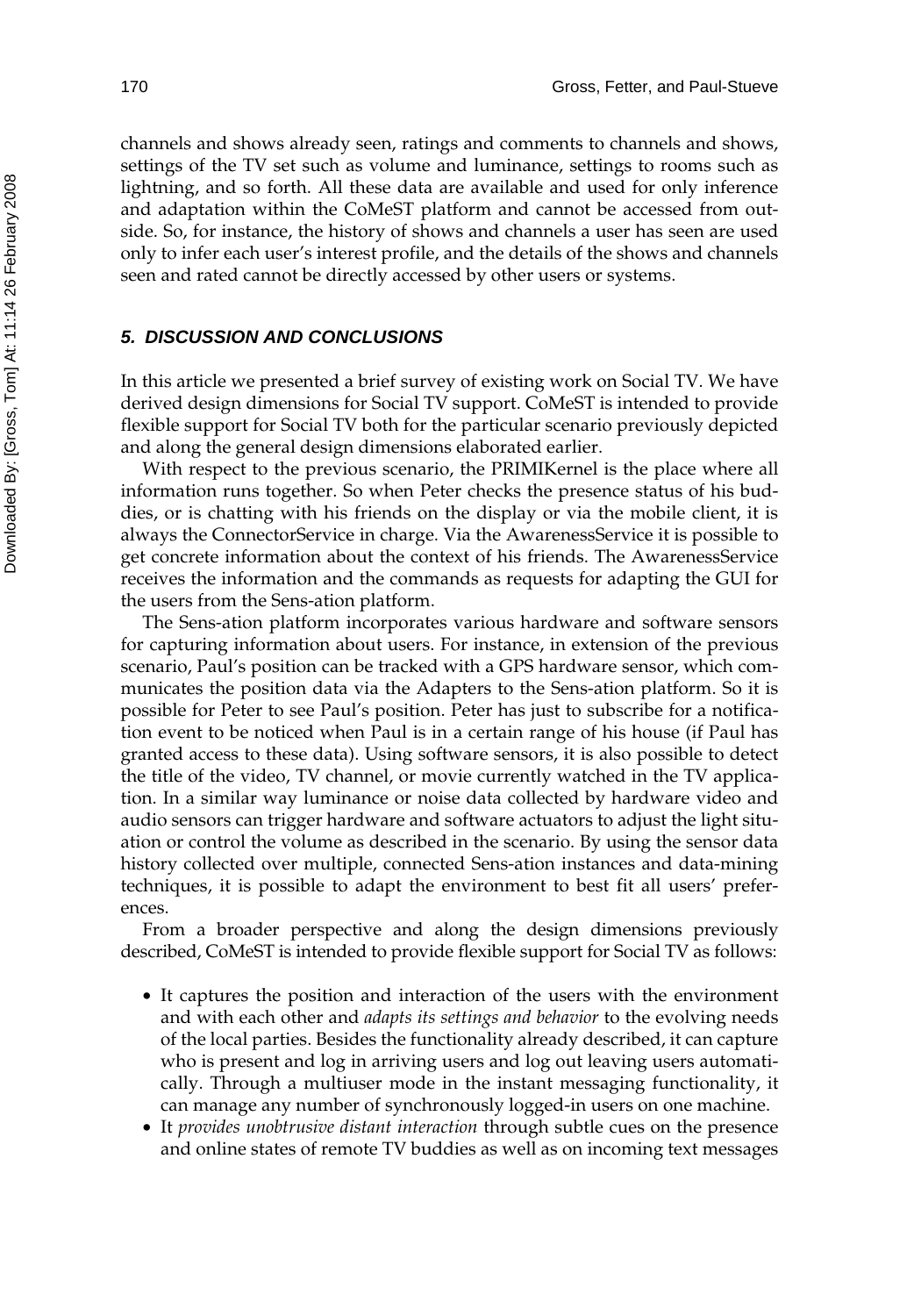channels and shows already seen, ratings and comments to channels and shows, settings of the TV set such as volume and luminance, settings to rooms such as lightning, and so forth. All these data are available and used for only inference and adaptation within the CoMeST platform and cannot be accessed from outside. So, for instance, the history of shows and channels a user has seen are used only to infer each user's interest profile, and the details of the shows and channels seen and rated cannot be directly accessed by other users or systems.

### *5. DISCUSSION AND CONCLUSIONS*

In this article we presented a brief survey of existing work on Social TV. We have derived design dimensions for Social TV support. CoMeST is intended to provide flexible support for Social TV both for the particular scenario previously depicted and along the general design dimensions elaborated earlier.

With respect to the previous scenario, the PRIMIKernel is the place where all information runs together. So when Peter checks the presence status of his buddies, or is chatting with his friends on the display or via the mobile client, it is always the ConnectorService in charge. Via the AwarenessService it is possible to get concrete information about the context of his friends. The AwarenessService receives the information and the commands as requests for adapting the GUI for the users from the Sens-ation platform.

The Sens-ation platform incorporates various hardware and software sensors for capturing information about users. For instance, in extension of the previous scenario, Paul's position can be tracked with a GPS hardware sensor, which communicates the position data via the Adapters to the Sens-ation platform. So it is possible for Peter to see Paul's position. Peter has just to subscribe for a notification event to be noticed when Paul is in a certain range of his house (if Paul has granted access to these data). Using software sensors, it is also possible to detect the title of the video, TV channel, or movie currently watched in the TV application. In a similar way luminance or noise data collected by hardware video and audio sensors can trigger hardware and software actuators to adjust the light situation or control the volume as described in the scenario. By using the sensor data history collected over multiple, connected Sens-ation instances and data-mining techniques, it is possible to adapt the environment to best fit all users' preferences.

From a broader perspective and along the design dimensions previously described, CoMeST is intended to provide flexible support for Social TV as follows:

- It captures the position and interaction of the users with the environment and with each other and *adapts its settings and behavior* to the evolving needs of the local parties. Besides the functionality already described, it can capture who is present and log in arriving users and log out leaving users automatically. Through a multiuser mode in the instant messaging functionality, it can manage any number of synchronously logged-in users on one machine.
- It *provides unobtrusive distant interaction* through subtle cues on the presence and online states of remote TV buddies as well as on incoming text messages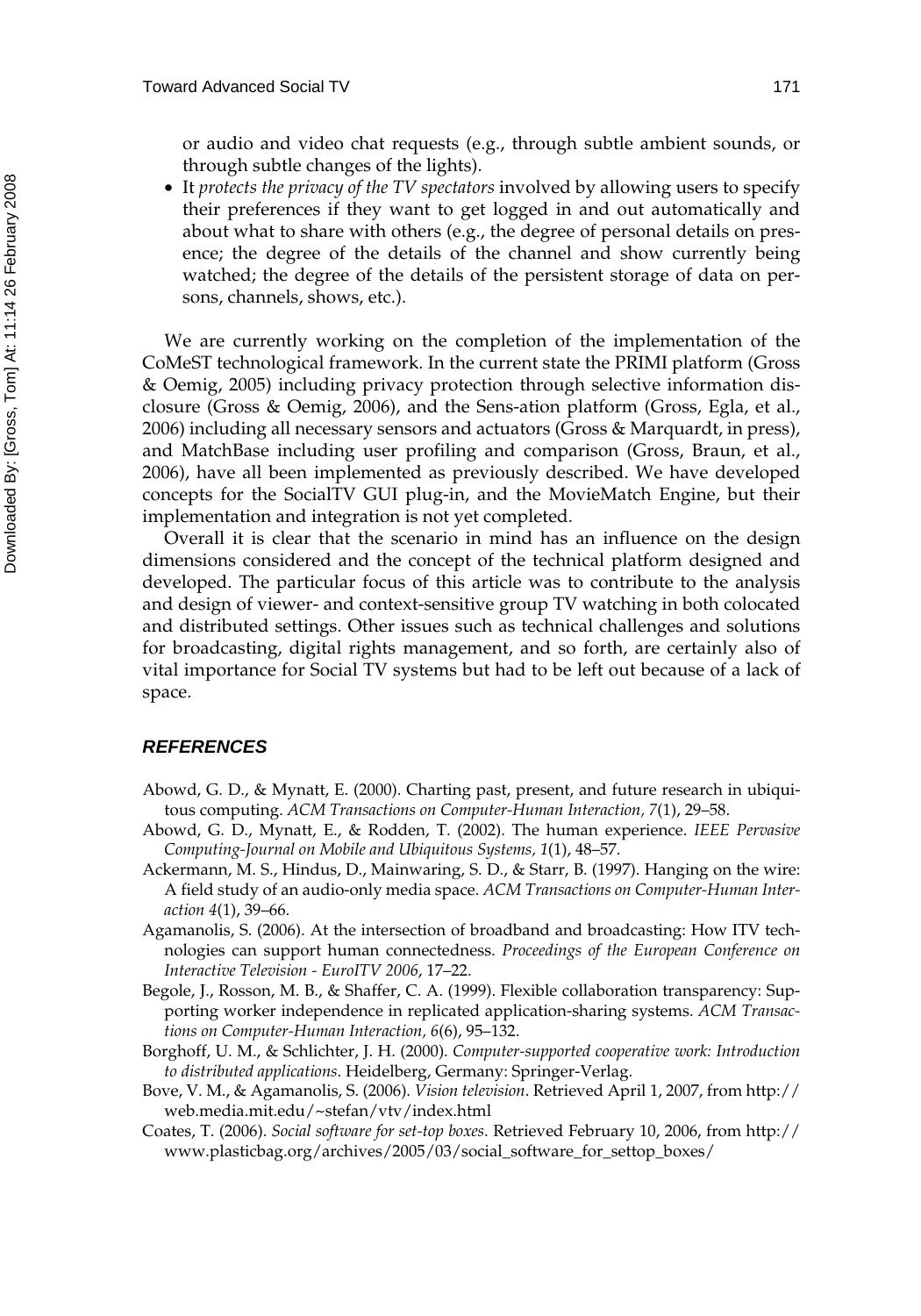or audio and video chat requests (e.g., through subtle ambient sounds, or through subtle changes of the lights).

• It *protects the privacy of the TV spectators* involved by allowing users to specify their preferences if they want to get logged in and out automatically and about what to share with others (e.g., the degree of personal details on presence; the degree of the details of the channel and show currently being watched; the degree of the details of the persistent storage of data on persons, channels, shows, etc.).

We are currently working on the completion of the implementation of the CoMeST technological framework. In the current state the PRIMI platform (Gross & Oemig, 2005) including privacy protection through selective information disclosure (Gross & Oemig, 2006), and the Sens-ation platform (Gross, Egla, et al., 2006) including all necessary sensors and actuators (Gross & Marquardt, in press), and MatchBase including user profiling and comparison (Gross, Braun, et al., 2006), have all been implemented as previously described. We have developed concepts for the SocialTV GUI plug-in, and the MovieMatch Engine, but their implementation and integration is not yet completed.

Overall it is clear that the scenario in mind has an influence on the design dimensions considered and the concept of the technical platform designed and developed. The particular focus of this article was to contribute to the analysis and design of viewer- and context-sensitive group TV watching in both colocated and distributed settings. Other issues such as technical challenges and solutions for broadcasting, digital rights management, and so forth, are certainly also of vital importance for Social TV systems but had to be left out because of a lack of space.

## *REFERENCES*

- Abowd, G. D., & Mynatt, E. (2000). Charting past, present, and future research in ubiquitous computing. *ACM Transactions on Computer-Human Interaction, 7*(1), 29–58.
- Abowd, G. D., Mynatt, E., & Rodden, T. (2002). The human experience. *IEEE Pervasive Computing-Journal on Mobile and Ubiquitous Systems, 1*(1), 48–57.
- Ackermann, M. S., Hindus, D., Mainwaring, S. D., & Starr, B. (1997). Hanging on the wire: A field study of an audio-only media space. *ACM Transactions on Computer-Human Interaction 4*(1), 39–66.
- Agamanolis, S. (2006). At the intersection of broadband and broadcasting: How ITV technologies can support human connectedness. *Proceedings of the European Conference on Interactive Television - EuroITV 2006*, 17–22.
- Begole, J., Rosson, M. B., & Shaffer, C. A. (1999). Flexible collaboration transparency: Supporting worker independence in replicated application-sharing systems. *ACM Transactions on Computer-Human Interaction, 6*(6), 95–132.
- Borghoff, U. M., & Schlichter, J. H. (2000). *Computer-supported cooperative work: Introduction to distributed applications*. Heidelberg, Germany: Springer-Verlag.
- Bove, V. M., & Agamanolis, S. (2006). *Vision television*. Retrieved April 1, 2007, from http:// web.media.mit.edu/~stefan/vtv/index.html
- Coates, T. (2006). *Social software for set-top boxes*. Retrieved February 10, 2006, from http:// www.plasticbag.org/archives/2005/03/social\_software\_for\_settop\_boxes/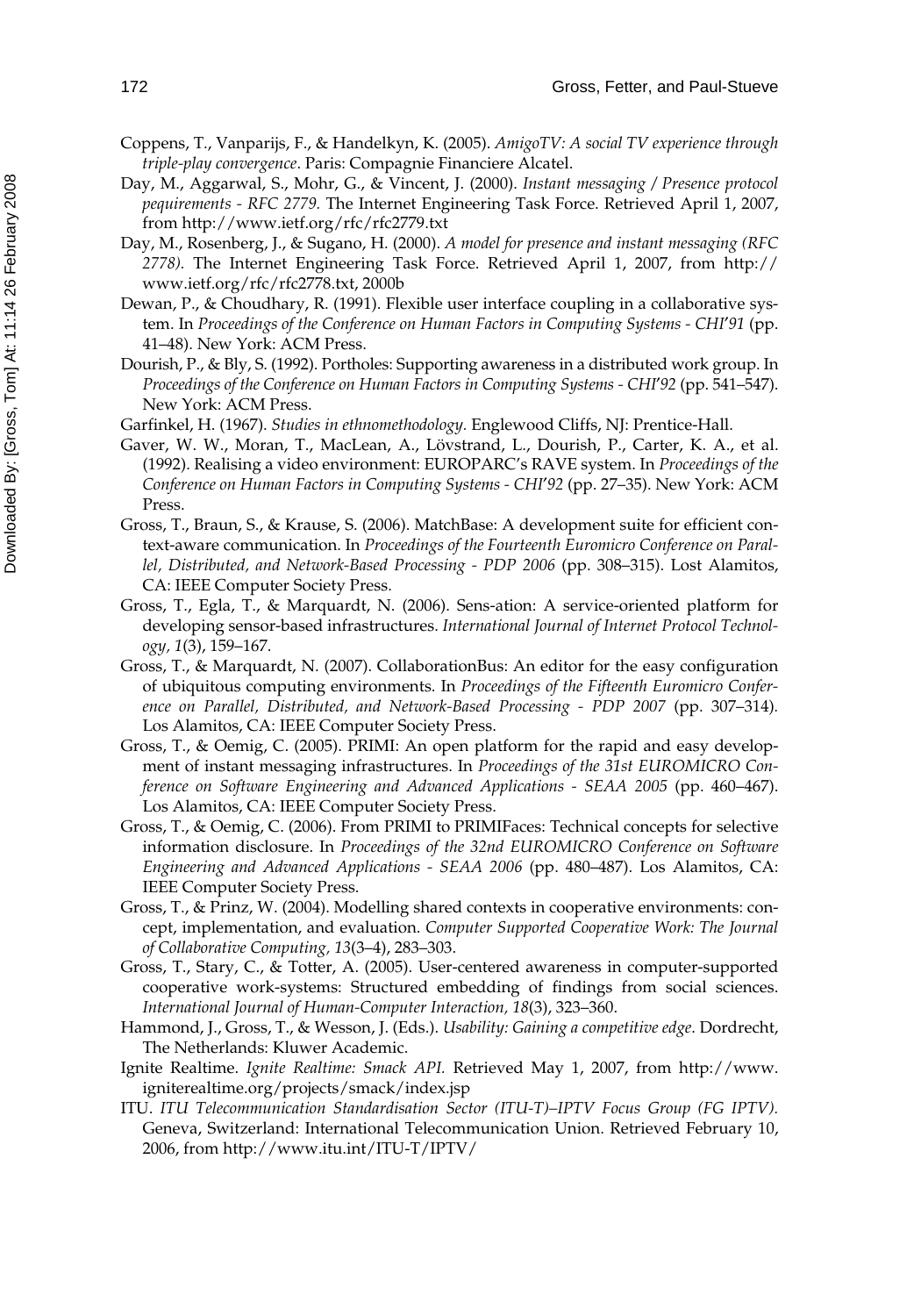- Coppens, T., Vanparijs, F., & Handelkyn, K. (2005). *AmigoTV: A social TV experience through triple-play convergence*. Paris: Compagnie Financiere Alcatel.
- Day, M., Aggarwal, S., Mohr, G., & Vincent, J. (2000). *Instant messaging / Presence protocol pequirements - RFC 2779.* The Internet Engineering Task Force. Retrieved April 1, 2007, from http://www.ietf.org/rfc/rfc2779.txt
- Day, M., Rosenberg, J., & Sugano, H. (2000). *A model for presence and instant messaging (RFC 2778).* The Internet Engineering Task Force. Retrieved April 1, 2007, from http:// www.ietf.org/rfc/rfc2778.txt, 2000b
- Dewan, P., & Choudhary, R. (1991). Flexible user interface coupling in a collaborative system. In *Proceedings of the Conference on Human Factors in Computing Systems - CHI¢91* (pp. 41–48). New York: ACM Press.
- Dourish, P., & Bly, S. (1992). Portholes: Supporting awareness in a distributed work group. In *Proceedings of the Conference on Human Factors in Computing Systems - CHI¢92* (pp. 541–547). New York: ACM Press.
- Garfinkel, H. (1967). *Studies in ethnomethodology.* Englewood Cliffs, NJ: Prentice-Hall.
- Gaver, W. W., Moran, T., MacLean, A., Lövstrand, L., Dourish, P., Carter, K. A., et al. (1992). Realising a video environment: EUROPARC's RAVE system. In *Proceedings of the Conference on Human Factors in Computing Systems - CHI¢92* (pp. 27–35). New York: ACM Press.
- Gross, T., Braun, S., & Krause, S. (2006). MatchBase: A development suite for efficient context-aware communication. In *Proceedings of the Fourteenth Euromicro Conference on Parallel, Distributed, and Network-Based Processing - PDP 2006* (pp. 308–315). Lost Alamitos, CA: IEEE Computer Society Press.
- Gross, T., Egla, T., & Marquardt, N. (2006). Sens-ation: A service-oriented platform for developing sensor-based infrastructures. *International Journal of Internet Protocol Technology, 1*(3), 159–167.
- Gross, T., & Marquardt, N. (2007). CollaborationBus: An editor for the easy configuration of ubiquitous computing environments. In *Proceedings of the Fifteenth Euromicro Conference on Parallel, Distributed, and Network-Based Processing - PDP 2007 (pp. 307–314).* Los Alamitos, CA: IEEE Computer Society Press.
- Gross, T., & Oemig, C. (2005). PRIMI: An open platform for the rapid and easy development of instant messaging infrastructures. In *Proceedings of the 31st EUROMICRO Conference on Software Engineering and Advanced Applications - SEAA 2005* (pp. 460–467). Los Alamitos, CA: IEEE Computer Society Press.
- Gross, T., & Oemig, C. (2006). From PRIMI to PRIMIFaces: Technical concepts for selective information disclosure. In *Proceedings of the 32nd EUROMICRO Conference on Software Engineering and Advanced Applications - SEAA 2006* (pp. 480–487). Los Alamitos, CA: IEEE Computer Society Press.
- Gross, T., & Prinz, W. (2004). Modelling shared contexts in cooperative environments: concept, implementation, and evaluation. *Computer Supported Cooperative Work: The Journal of Collaborative Computing, 13*(3–4), 283–303.
- Gross, T., Stary, C., & Totter, A. (2005). User-centered awareness in computer-supported cooperative work-systems: Structured embedding of findings from social sciences. *International Journal of Human-Computer Interaction, 18*(3), 323–360.
- Hammond, J., Gross, T., & Wesson, J. (Eds.). *Usability: Gaining a competitive edge*. Dordrecht, The Netherlands: Kluwer Academic.
- Ignite Realtime. *Ignite Realtime: Smack API.* Retrieved May 1, 2007, from http://www. igniterealtime.org/projects/smack/index.jsp
- ITU. *ITU Telecommunication Standardisation Sector (ITU-T)–IPTV Focus Group (FG IPTV).* Geneva, Switzerland: International Telecommunication Union. Retrieved February 10, 2006, from http://www.itu.int/ITU-T/IPTV/